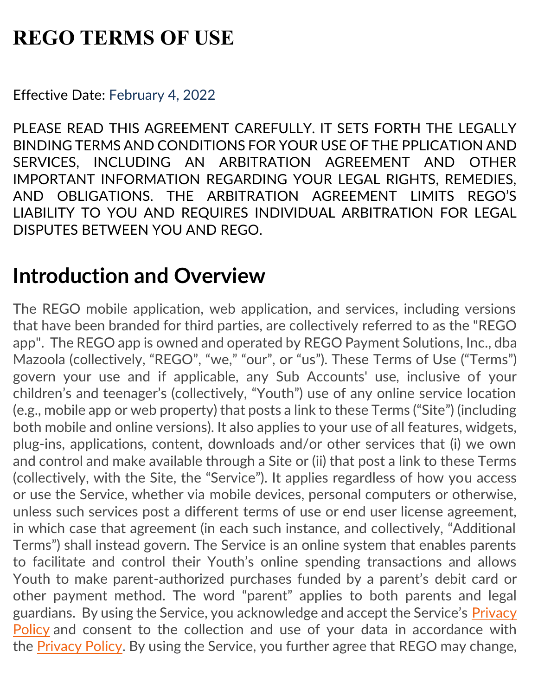# **REGO TERMS OF USE**

Effective Date: February 4, 2022

PLEASE READ THIS AGREEMENT CAREFULLY. IT SETS FORTH THE LEGALLY BINDING TERMS AND CONDITIONS FOR YOUR USE OF THE PPLICATION AND SERVICES, INCLUDING AN ARBITRATION AGREEMENT AND OTHER IMPORTANT INFORMATION REGARDING YOUR LEGAL RIGHTS, REMEDIES, AND OBLIGATIONS. THE ARBITRATION AGREEMENT LIMITS REGO'S LIABILITY TO YOU AND REQUIRES INDIVIDUAL ARBITRATION FOR LEGAL DISPUTES BETWEEN YOU AND REGO.

# **Introduction and Overview**

The REGO mobile application, web application, and services, including versions that have been branded for third parties, are collectively referred to as the "REGO app". The REGO app is owned and operated by REGO Payment Solutions, Inc., dba Mazoola (collectively, "REGO", "we," "our", or "us"). These Terms of Use ("Terms") govern your use and if applicable, any Sub Accounts' use, inclusive of your children's and teenager's (collectively, "Youth") use of any online service location (e.g., mobile app or web property) that posts a link to these Terms ("Site") (including both mobile and online versions). It also applies to your use of all features, widgets, plug-ins, applications, content, downloads and/or other services that (i) we own and control and make available through a Site or (ii) that post a link to these Terms (collectively, with the Site, the "Service"). It applies regardless of how you access or use the Service, whether via mobile devices, personal computers or otherwise, unless such services post a different terms of use or end user license agreement, in which case that agreement (in each such instance, and collectively, "Additional Terms") shall instead govern. The Service is an online system that enables parents to facilitate and control their Youth's online spending transactions and allows Youth to make parent-authorized purchases funded by a parent's debit card or other payment method. The word "parent" applies to both parents and legal guardians. By using the Service, you acknowledge and accept the Service's [Privacy](https://mazoola.co/app-privacy-policy/)  [Policy](https://mazoola.co/app-privacy-policy/) and consent to the collection and use of your data in accordance with the [Privacy Policy.](https://mazoola.co/app-privacy-policy/) By using the Service, you further agree that REGO may change,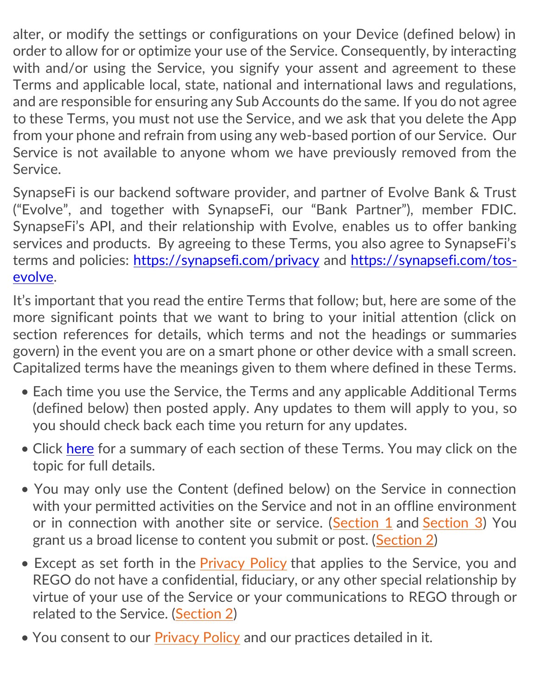alter, or modify the settings or configurations on your Device (defined below) in order to allow for or optimize your use of the Service. Consequently, by interacting with and/or using the Service, you signify your assent and agreement to these Terms and applicable local, state, national and international laws and regulations, and are responsible for ensuring any Sub Accounts do the same. If you do not agree to these Terms, you must not use the Service, and we ask that you delete the App from your phone and refrain from using any web-based portion of our Service. Our Service is not available to anyone whom we have previously removed from the Service.

SynapseFi is our backend software provider, and partner of Evolve Bank & Trust ("Evolve", and together with SynapseFi, our "Bank Partner"), member FDIC. SynapseFi's API, and their relationship with Evolve, enables us to offer banking services and products. By agreeing to these Terms, you also agree to SynapseFi's terms and policies:<https://synapsefi.com/privacy> and [https://synapsefi.com/tos](https://synapsefi.com/tos-evolve)[evolve.](https://synapsefi.com/tos-evolve)

It's important that you read the entire Terms that follow; but, here are some of the more significant points that we want to bring to your initial attention (click on section references for details, which terms and not the headings or summaries govern) in the event you are on a smart phone or other device with a small screen. Capitalized terms have the meanings given to them where defined in these Terms.

- Each time you use the Service, the Terms and any applicable Additional Terms (defined below) then posted apply. Any updates to them will apply to you, so you should check back each time you return for any updates.
- Click [here](#page-2-0) for a summary of each section of these Terms. You may click on the topic for full details.
- You may only use the Content (defined below) on the Service in connection with your permitted activities on the Service and not in an offline environment or in connection with another site or service. [\(Section 1](#page-6-0) and [Section 3\)](#page-11-0) You grant us a broad license to content you submit or post. [\(Section 2\)](#page-8-0)
- Except as set forth in the [Privacy Policy](https://mazoola.co/app-privacy-policy/) that applies to the Service, you and REGO do not have a confidential, fiduciary, or any other special relationship by virtue of your use of the Service or your communications to REGO through or related to the Service. [\(Section 2\)](#page-8-0)
- You consent to our [Privacy Policy](https://mazoola.co/app-privacy-policy/) and our practices detailed in it.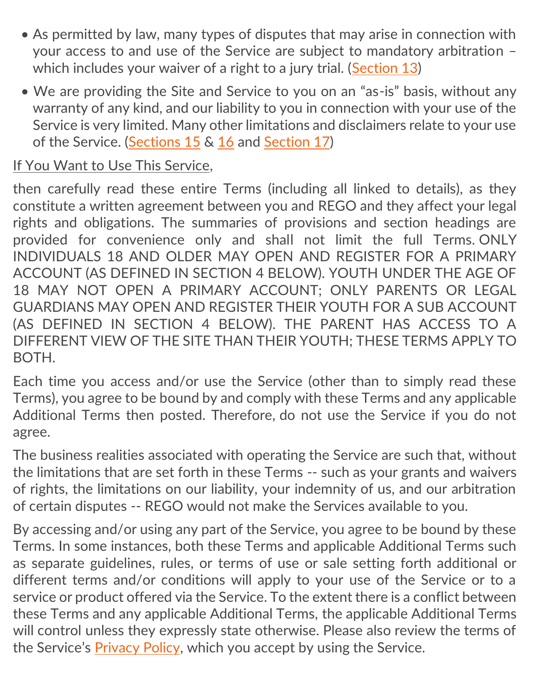- As permitted by law, many types of disputes that may arise in connection with your access to and use of the Service are subject to mandatory arbitration – which includes your waiver of a right to a jury trial. [\(Section 13\)](#page-34-0)
- We are providing the Site and Service to you on an "as-is" basis, without any warranty of any kind, and our liability to you in connection with your use of the Service is very limited. Many other limitations and disclaimers relate to your use of the Service. [\(Sections 15](#page-38-0) & [16](#page-39-0) and [Section 17\)](#page-41-0)

#### If You Want to Use This Service,

then carefully read these entire Terms (including all linked to details), as they constitute a written agreement between you and REGO and they affect your legal rights and obligations. The summaries of provisions and section headings are provided for convenience only and shall not limit the full Terms. ONLY INDIVIDUALS 18 AND OLDER MAY OPEN AND REGISTER FOR A PRIMARY ACCOUNT (AS DEFINED IN SECTION 4 BELOW). YOUTH UNDER THE AGE OF 18 MAY NOT OPEN A PRIMARY ACCOUNT; ONLY PARENTS OR LEGAL GUARDIANS MAY OPEN AND REGISTER THEIR YOUTH FOR A SUB ACCOUNT (AS DEFINED IN SECTION 4 BELOW). THE PARENT HAS ACCESS TO A DIFFERENT VIEW OF THE SITE THAN THEIR YOUTH; THESE TERMS APPLY TO BOTH.

Each time you access and/or use the Service (other than to simply read these Terms), you agree to be bound by and comply with these Terms and any applicable Additional Terms then posted. Therefore, do not use the Service if you do not agree.

The business realities associated with operating the Service are such that, without the limitations that are set forth in these Terms -- such as your grants and waivers of rights, the limitations on our liability, your indemnity of us, and our arbitration of certain disputes -- REGO would not make the Services available to you.

<span id="page-2-0"></span>By accessing and/or using any part of the Service, you agree to be bound by these Terms. In some instances, both these Terms and applicable Additional Terms such as separate guidelines, rules, or terms of use or sale setting forth additional or different terms and/or conditions will apply to your use of the Service or to a service or product offered via the Service. To the extent there is a conflict between these Terms and any applicable Additional Terms, the applicable Additional Terms will control unless they expressly state otherwise. Please also review the terms of the Service's [Privacy Policy,](https://mazoola.co/app-privacy-policy/) which you accept by using the Service.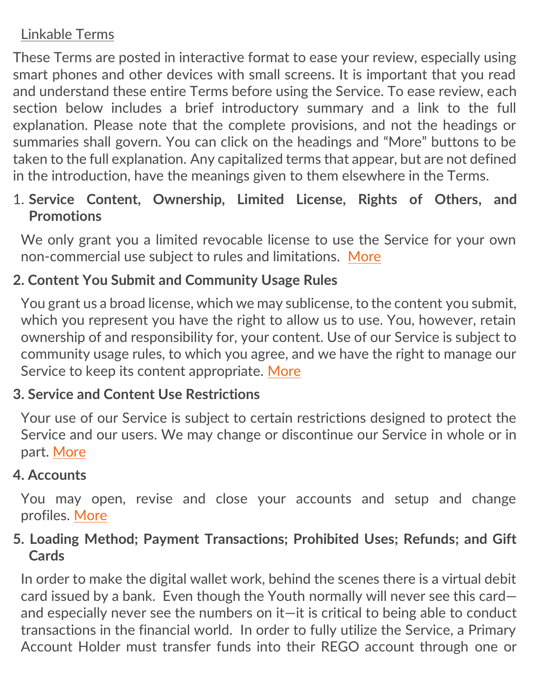# Linkable Terms

These Terms are posted in interactive format to ease your review, especially using smart phones and other devices with small screens. It is important that you read and understand these entire Terms before using the Service. To ease review, each section below includes a brief introductory summary and a link to the full explanation. Please note that the complete provisions, and not the headings or summaries shall govern. You can click on the headings and "More" buttons to be taken to the full explanation. Any capitalized terms that appear, but are not defined in the introduction, have the meanings given to them elsewhere in the Terms.

1. **Service Content, Ownership, Limited License, Rights of Others, and Promotions**

We only grant you a limited revocable license to use the Service for your own non-commercial use subject to rules and limitations. [More](#page-6-0)

## **2. Content You Submit and Community Usage Rules**

You grant us a broad license, which we may sublicense, to the content you submit, which you represent you have the right to allow us to use. You, however, retain ownership of and responsibility for, your content. Use of our Service is subject to community usage rules, to which you agree, and we have the right to manage our Service to keep its content appropriate. [More](#page-8-0)

#### **3. Service and Content Use Restrictions**

Your use of our Service is subject to certain restrictions designed to protect the Service and our users. We may change or discontinue our Service in whole or in part. [More](#page-11-0)

#### **4. Accounts**

You may open, revise and close your accounts and setup and change profiles. [More](#page-13-0)

## **5. Loading Method; Payment Transactions; Prohibited Uses; Refunds; and Gift Cards**

In order to make the digital wallet work, behind the scenes there is a virtual debit card issued by a bank. Even though the Youth normally will never see this card and especially never see the numbers on it—it is critical to being able to conduct transactions in the financial world. In order to fully utilize the Service, a Primary Account Holder must transfer funds into their REGO account through one or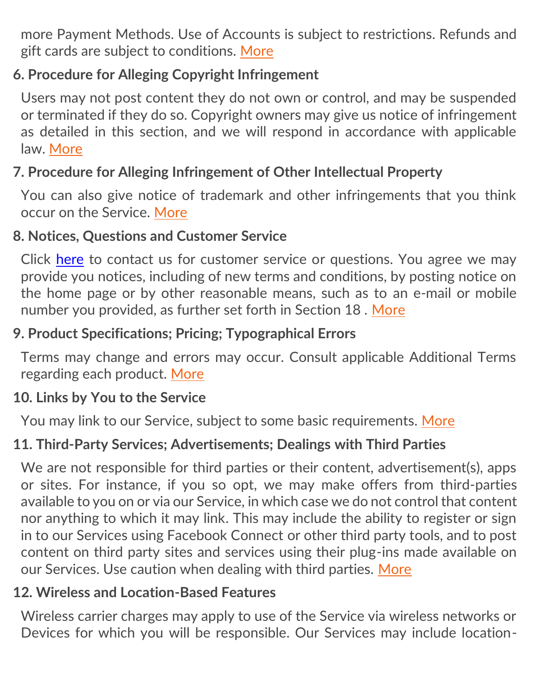more Payment Methods. Use of Accounts is subject to restrictions. Refunds and gift cards are subject to conditions. [More](#page-17-0)

# **6. Procedure for Alleging Copyright Infringement**

Users may not post content they do not own or control, and may be suspended or terminated if they do so. Copyright owners may give us notice of infringement as detailed in this section, and we will respond in accordance with applicable law. [More](#page-21-0)

## **7. Procedure for Alleging Infringement of Other Intellectual Property**

You can also give notice of trademark and other infringements that you think occur on the Service. [More](#page-29-0)

#### **8. Notices, Questions and Customer Service**

Click [here](mailto:support@regopayments.com) to contact us for customer service or questions. You agree we may provide you notices, including of new terms and conditions, by posting notice on the home page or by other reasonable means, such as to an e-mail or mobile number you provided, as further set forth in Section 18 . [More](#page-30-0)

## **9. Product Specifications; Pricing; Typographical Errors**

Terms may change and errors may occur. Consult applicable Additional Terms regarding each product. [More](#page-31-0)

## **10. Links by You to the Service**

You may link to our Service, subject to some basic requirements. [More](#page-31-1)

# **11. Third-Party Services; Advertisements; Dealings with Third Parties**

We are not responsible for third parties or their content, advertisement(s), apps or sites. For instance, if you so opt, we may make offers from third-parties available to you on or via our Service, in which case we do not control that content nor anything to which it may link. This may include the ability to register or sign in to our Services using Facebook Connect or other third party tools, and to post content on third party sites and services using their plug-ins made available on our Services. Use caution when dealing with third parties. [More](#page-32-0)

#### **12. Wireless and Location-Based Features**

Wireless carrier charges may apply to use of the Service via wireless networks or Devices for which you will be responsible. Our Services may include location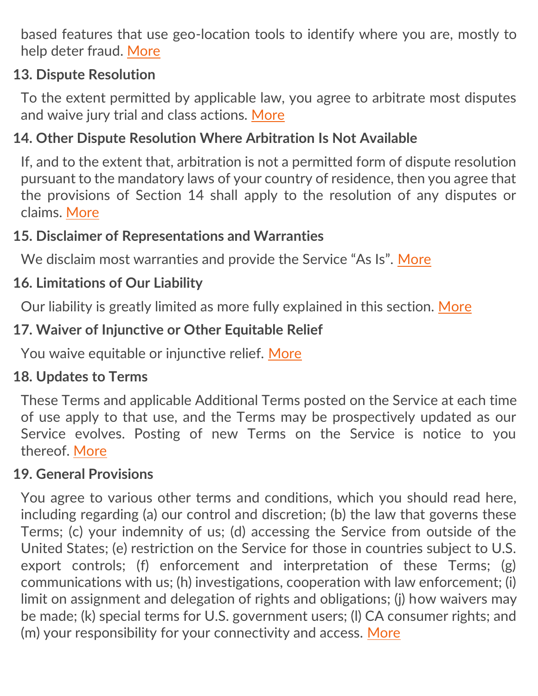based features that use geo-location tools to identify where you are, mostly to help deter fraud. [More](#page-33-0)

## **13. Dispute Resolution**

To the extent permitted by applicable law, you agree to arbitrate most disputes and waive jury trial and class actions. [More](#page-34-0)

## **14. Other Dispute Resolution Where Arbitration Is Not Available**

If, and to the extent that, arbitration is not a permitted form of dispute resolution pursuant to the mandatory laws of your country of residence, then you agree that the provisions of Section 14 shall apply to the resolution of any disputes or claims. [More](#page-37-0)

#### **15. Disclaimer of Representations and Warranties**

We disclaim most warranties and provide the Service "As Is". [More](#page-38-0)

## **16. Limitations of Our Liability**

Our liability is greatly limited as more fully explained in this section. [More](#page-39-0)

## **17. Waiver of Injunctive or Other Equitable Relief**

You waive equitable or injunctive relief. [More](#page-41-0)

#### **18. Updates to Terms**

These Terms and applicable Additional Terms posted on the Service at each time of use apply to that use, and the Terms may be prospectively updated as our Service evolves. Posting of new Terms on the Service is notice to you thereof. [More](#page-41-1)

#### **19. General Provisions**

You agree to various other terms and conditions, which you should read here, including regarding (a) our control and discretion; (b) the law that governs these Terms; (c) your indemnity of us; (d) accessing the Service from outside of the United States; (e) restriction on the Service for those in countries subject to U.S. export controls; (f) enforcement and interpretation of these Terms; (g) communications with us; (h) investigations, cooperation with law enforcement; (i) limit on assignment and delegation of rights and obligations; (j) how waivers may be made; (k) special terms for U.S. government users; (l) CA consumer rights; and (m) your responsibility for your connectivity and access. [More](#page-42-0)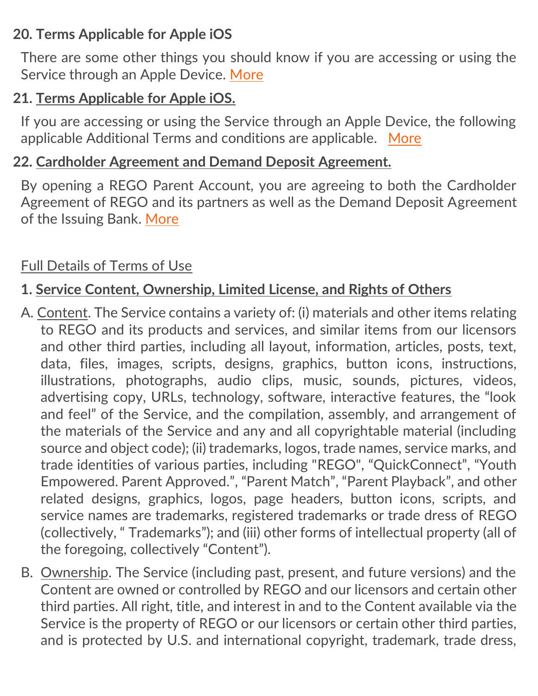## **20. Terms Applicable for Apple iOS**

There are some other things you should know if you are accessing or using the Service through an Apple Device. [More](#page-46-0)

## **21. Terms Applicable for Apple iOS.**

If you are accessing or using the Service through an Apple Device, the following applicable Additional Terms and conditions are applicable. [More](#page-47-0)

#### **22. Cardholder Agreement and Demand Deposit Agreement.**

By opening a REGO Parent Account, you are agreeing to both the Cardholder Agreement of REGO and its partners as well as the Demand Deposit Agreement of the Issuing Bank. [More](#page-49-0)

#### Full Details of Terms of Use

## <span id="page-6-0"></span>**1. Service Content, Ownership, Limited License, and Rights of Others**

- A. Content. The Service contains a variety of: (i) materials and other items relating to REGO and its products and services, and similar items from our licensors and other third parties, including all layout, information, articles, posts, text, data, files, images, scripts, designs, graphics, button icons, instructions, illustrations, photographs, audio clips, music, sounds, pictures, videos, advertising copy, URLs, technology, software, interactive features, the "look and feel" of the Service, and the compilation, assembly, and arrangement of the materials of the Service and any and all copyrightable material (including source and object code); (ii) trademarks, logos, trade names, service marks, and trade identities of various parties, including "REGO", "QuickConnect", "Youth Empowered. Parent Approved.", "Parent Match", "Parent Playback", and other related designs, graphics, logos, page headers, button icons, scripts, and service names are trademarks, registered trademarks or trade dress of REGO (collectively, " Trademarks"); and (iii) other forms of intellectual property (all of the foregoing, collectively "Content").
- B. Ownership. The Service (including past, present, and future versions) and the Content are owned or controlled by REGO and our licensors and certain other third parties. All right, title, and interest in and to the Content available via the Service is the property of REGO or our licensors or certain other third parties, and is protected by U.S. and international copyright, trademark, trade dress,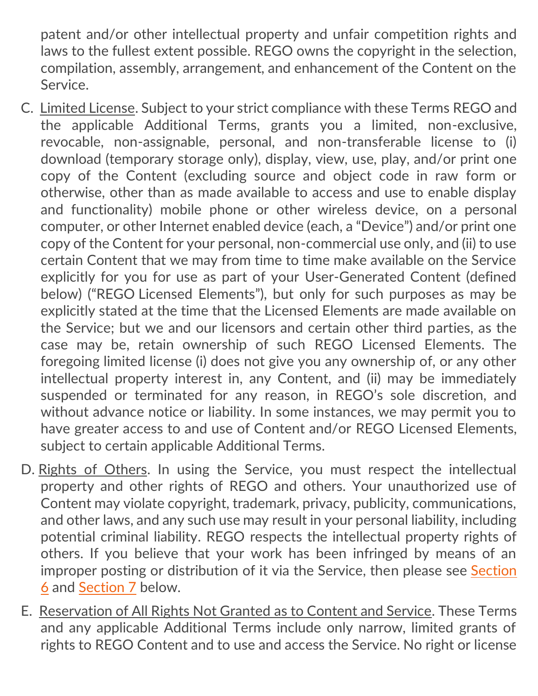patent and/or other intellectual property and unfair competition rights and laws to the fullest extent possible. REGO owns the copyright in the selection, compilation, assembly, arrangement, and enhancement of the Content on the Service.

- C. Limited License. Subject to your strict compliance with these Terms REGO and the applicable Additional Terms, grants you a limited, non-exclusive, revocable, non-assignable, personal, and non-transferable license to (i) download (temporary storage only), display, view, use, play, and/or print one copy of the Content (excluding source and object code in raw form or otherwise, other than as made available to access and use to enable display and functionality) mobile phone or other wireless device, on a personal computer, or other Internet enabled device (each, a "Device") and/or print one copy of the Content for your personal, non-commercial use only, and (ii) to use certain Content that we may from time to time make available on the Service explicitly for you for use as part of your User-Generated Content (defined below) ("REGO Licensed Elements"), but only for such purposes as may be explicitly stated at the time that the Licensed Elements are made available on the Service; but we and our licensors and certain other third parties, as the case may be, retain ownership of such REGO Licensed Elements. The foregoing limited license (i) does not give you any ownership of, or any other intellectual property interest in, any Content, and (ii) may be immediately suspended or terminated for any reason, in REGO's sole discretion, and without advance notice or liability. In some instances, we may permit you to have greater access to and use of Content and/or REGO Licensed Elements, subject to certain applicable Additional Terms.
- D. Rights of Others. In using the Service, you must respect the intellectual property and other rights of REGO and others. Your unauthorized use of Content may violate copyright, trademark, privacy, publicity, communications, and other laws, and any such use may result in your personal liability, including potential criminal liability. REGO respects the intellectual property rights of others. If you believe that your work has been infringed by means of an improper posting or distribution of it via the Service, then please see [Section](#page-21-0)  [6](#page-21-0) and [Section 7](#page-29-0) below.
- E. Reservation of All Rights Not Granted as to Content and Service. These Terms and any applicable Additional Terms include only narrow, limited grants of rights to REGO Content and to use and access the Service. No right or license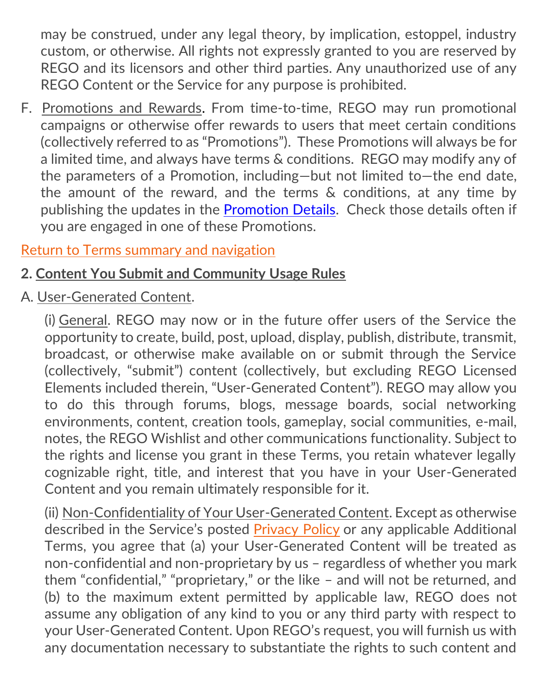may be construed, under any legal theory, by implication, estoppel, industry custom, or otherwise. All rights not expressly granted to you are reserved by REGO and its licensors and other third parties. Any unauthorized use of any REGO Content or the Service for any purpose is prohibited.

<span id="page-8-1"></span>F. [Promotions and Rewards.](#page-8-1) From time-to-time, REGO may run promotional campaigns or otherwise offer rewards to users that meet certain conditions (collectively referred to as "Promotions"). These Promotions will always be for a limited time, and always have terms & conditions. REGO may modify any of the parameters of a Promotion, including—but not limited to—the end date, the amount of the reward, and the terms & conditions, at any time by publishing the updates in the [Promotion Details.](https://help.mazoola.co/promotions/) Check those details often if you are engaged in one of these Promotions.

## [Return to Terms summary and navigation](#page-2-0)

## <span id="page-8-0"></span>**2. Content You Submit and Community Usage Rules**

A. User-Generated Content.

(i) General. REGO may now or in the future offer users of the Service the opportunity to create, build, post, upload, display, publish, distribute, transmit, broadcast, or otherwise make available on or submit through the Service (collectively, "submit") content (collectively, but excluding REGO Licensed Elements included therein, "User-Generated Content"). REGO may allow you to do this through forums, blogs, message boards, social networking environments, content, creation tools, gameplay, social communities, e-mail, notes, the REGO Wishlist and other communications functionality. Subject to the rights and license you grant in these Terms, you retain whatever legally cognizable right, title, and interest that you have in your User-Generated Content and you remain ultimately responsible for it.

(ii) Non-Confidentiality of Your User-Generated Content. Except as otherwise described in the Service's posted [Privacy Policy](https://mazoola.co/app-privacy-policy/) or any applicable Additional Terms, you agree that (a) your User-Generated Content will be treated as non-confidential and non-proprietary by us – regardless of whether you mark them "confidential," "proprietary," or the like – and will not be returned, and (b) to the maximum extent permitted by applicable law, REGO does not assume any obligation of any kind to you or any third party with respect to your User-Generated Content. Upon REGO's request, you will furnish us with any documentation necessary to substantiate the rights to such content and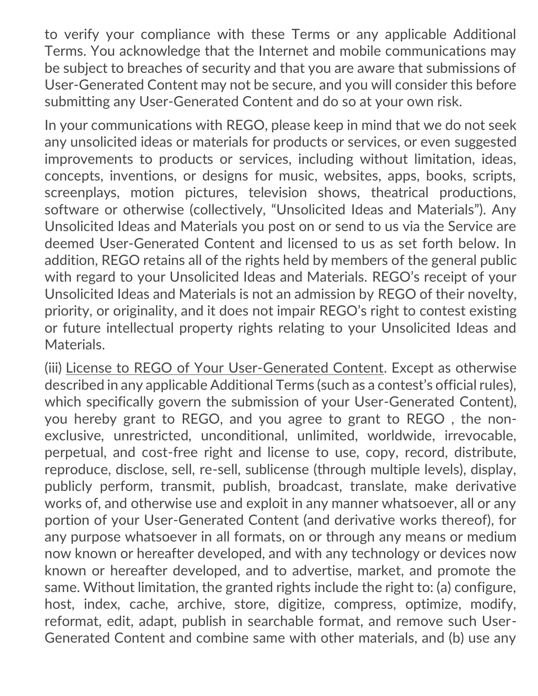to verify your compliance with these Terms or any applicable Additional Terms. You acknowledge that the Internet and mobile communications may be subject to breaches of security and that you are aware that submissions of User-Generated Content may not be secure, and you will consider this before submitting any User-Generated Content and do so at your own risk.

In your communications with REGO, please keep in mind that we do not seek any unsolicited ideas or materials for products or services, or even suggested improvements to products or services, including without limitation, ideas, concepts, inventions, or designs for music, websites, apps, books, scripts, screenplays, motion pictures, television shows, theatrical productions, software or otherwise (collectively, "Unsolicited Ideas and Materials"). Any Unsolicited Ideas and Materials you post on or send to us via the Service are deemed User-Generated Content and licensed to us as set forth below. In addition, REGO retains all of the rights held by members of the general public with regard to your Unsolicited Ideas and Materials. REGO's receipt of your Unsolicited Ideas and Materials is not an admission by REGO of their novelty, priority, or originality, and it does not impair REGO's right to contest existing or future intellectual property rights relating to your Unsolicited Ideas and Materials.

(iii) License to REGO of Your User-Generated Content. Except as otherwise described in any applicable Additional Terms (such as a contest's official rules), which specifically govern the submission of your User-Generated Content), you hereby grant to REGO, and you agree to grant to REGO , the nonexclusive, unrestricted, unconditional, unlimited, worldwide, irrevocable, perpetual, and cost-free right and license to use, copy, record, distribute, reproduce, disclose, sell, re-sell, sublicense (through multiple levels), display, publicly perform, transmit, publish, broadcast, translate, make derivative works of, and otherwise use and exploit in any manner whatsoever, all or any portion of your User-Generated Content (and derivative works thereof), for any purpose whatsoever in all formats, on or through any means or medium now known or hereafter developed, and with any technology or devices now known or hereafter developed, and to advertise, market, and promote the same. Without limitation, the granted rights include the right to: (a) configure, host, index, cache, archive, store, digitize, compress, optimize, modify, reformat, edit, adapt, publish in searchable format, and remove such User-Generated Content and combine same with other materials, and (b) use any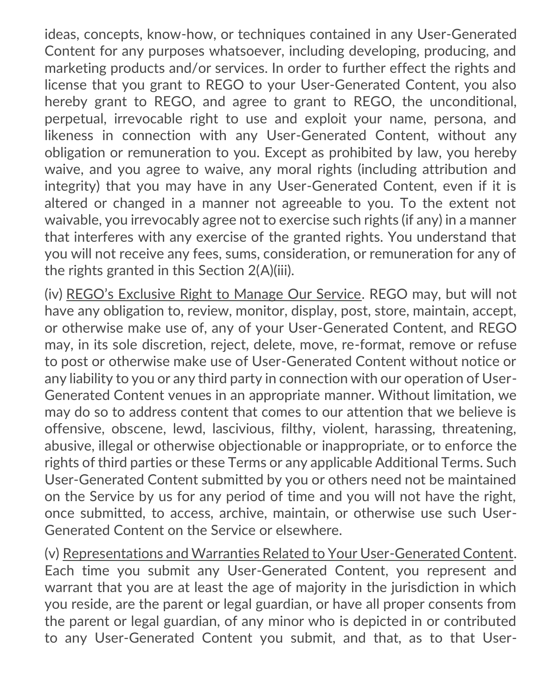ideas, concepts, know-how, or techniques contained in any User-Generated Content for any purposes whatsoever, including developing, producing, and marketing products and/or services. In order to further effect the rights and license that you grant to REGO to your User-Generated Content, you also hereby grant to REGO, and agree to grant to REGO, the unconditional, perpetual, irrevocable right to use and exploit your name, persona, and likeness in connection with any User-Generated Content, without any obligation or remuneration to you. Except as prohibited by law, you hereby waive, and you agree to waive, any moral rights (including attribution and integrity) that you may have in any User-Generated Content, even if it is altered or changed in a manner not agreeable to you. To the extent not waivable, you irrevocably agree not to exercise such rights (if any) in a manner that interferes with any exercise of the granted rights. You understand that you will not receive any fees, sums, consideration, or remuneration for any of the rights granted in this Section 2(A)(iii).

(iv) REGO's Exclusive Right to Manage Our Service. REGO may, but will not have any obligation to, review, monitor, display, post, store, maintain, accept, or otherwise make use of, any of your User-Generated Content, and REGO may, in its sole discretion, reject, delete, move, re-format, remove or refuse to post or otherwise make use of User-Generated Content without notice or any liability to you or any third party in connection with our operation of User-Generated Content venues in an appropriate manner. Without limitation, we may do so to address content that comes to our attention that we believe is offensive, obscene, lewd, lascivious, filthy, violent, harassing, threatening, abusive, illegal or otherwise objectionable or inappropriate, or to enforce the rights of third parties or these Terms or any applicable Additional Terms. Such User-Generated Content submitted by you or others need not be maintained on the Service by us for any period of time and you will not have the right, once submitted, to access, archive, maintain, or otherwise use such User-Generated Content on the Service or elsewhere.

(v) Representations and Warranties Related to Your User-Generated Content. Each time you submit any User-Generated Content, you represent and warrant that you are at least the age of majority in the jurisdiction in which you reside, are the parent or legal guardian, or have all proper consents from the parent or legal guardian, of any minor who is depicted in or contributed to any User-Generated Content you submit, and that, as to that User-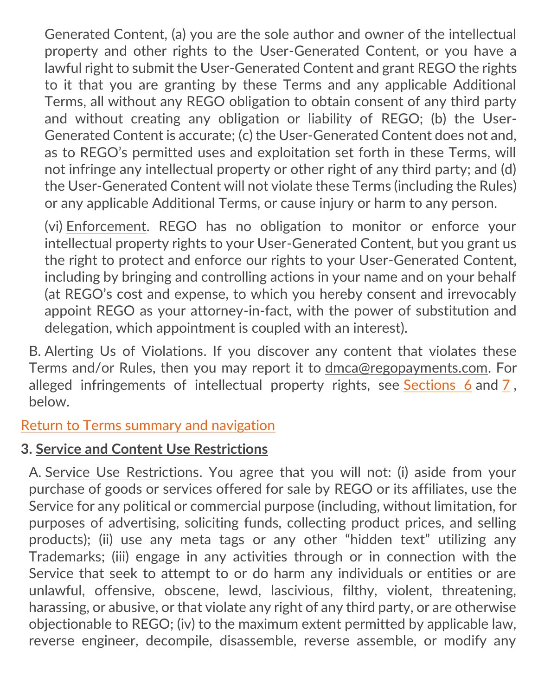Generated Content, (a) you are the sole author and owner of the intellectual property and other rights to the User-Generated Content, or you have a lawful right to submit the User-Generated Content and grant REGO the rights to it that you are granting by these Terms and any applicable Additional Terms, all without any REGO obligation to obtain consent of any third party and without creating any obligation or liability of REGO; (b) the User-Generated Content is accurate; (c) the User-Generated Content does not and, as to REGO's permitted uses and exploitation set forth in these Terms, will not infringe any intellectual property or other right of any third party; and (d) the User-Generated Content will not violate these Terms (including the Rules) or any applicable Additional Terms, or cause injury or harm to any person.

(vi) Enforcement. REGO has no obligation to monitor or enforce your intellectual property rights to your User-Generated Content, but you grant us the right to protect and enforce our rights to your User-Generated Content, including by bringing and controlling actions in your name and on your behalf (at REGO's cost and expense, to which you hereby consent and irrevocably appoint REGO as your attorney-in-fact, with the power of substitution and delegation, which appointment is coupled with an interest).

B. Alerting Us of Violations. If you discover any content that violates these Terms and/or Rules, then you may report it to [dmca@regopayments.com.](mailto:dmca@regopayments.com) For alleged infringements of intellectual property rights, see [Sections 6](#page-21-0) and [7](#page-29-0), below.

<span id="page-11-0"></span>[Return to Terms summary and navigation](#page-2-0)

## **3. Service and Content Use Restrictions**

A. Service Use Restrictions. You agree that you will not: (i) aside from your purchase of goods or services offered for sale by REGO or its affiliates, use the Service for any political or commercial purpose (including, without limitation, for purposes of advertising, soliciting funds, collecting product prices, and selling products); (ii) use any meta tags or any other "hidden text" utilizing any Trademarks; (iii) engage in any activities through or in connection with the Service that seek to attempt to or do harm any individuals or entities or are unlawful, offensive, obscene, lewd, lascivious, filthy, violent, threatening, harassing, or abusive, or that violate any right of any third party, or are otherwise objectionable to REGO; (iv) to the maximum extent permitted by applicable law, reverse engineer, decompile, disassemble, reverse assemble, or modify any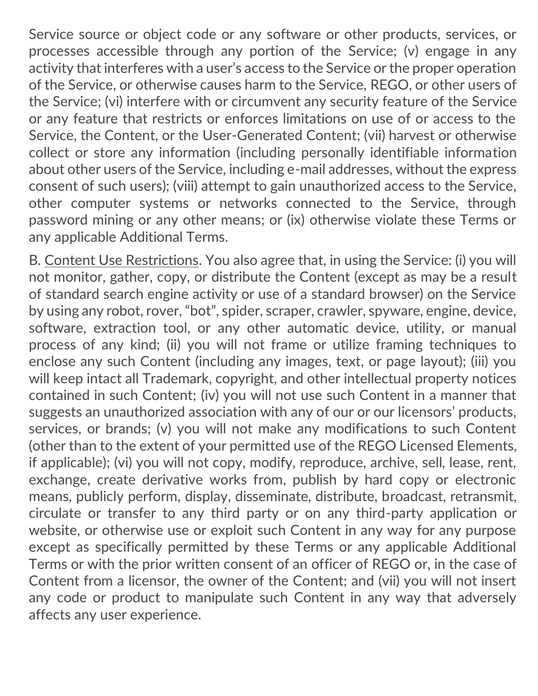Service source or object code or any software or other products, services, or processes accessible through any portion of the Service; (v) engage in any activity that interferes with a user's access to the Service or the proper operation of the Service, or otherwise causes harm to the Service, REGO, or other users of the Service; (vi) interfere with or circumvent any security feature of the Service or any feature that restricts or enforces limitations on use of or access to the Service, the Content, or the User-Generated Content; (vii) harvest or otherwise collect or store any information (including personally identifiable information about other users of the Service, including e-mail addresses, without the express consent of such users); (viii) attempt to gain unauthorized access to the Service, other computer systems or networks connected to the Service, through password mining or any other means; or (ix) otherwise violate these Terms or any applicable Additional Terms.

B. Content Use Restrictions. You also agree that, in using the Service: (i) you will not monitor, gather, copy, or distribute the Content (except as may be a result of standard search engine activity or use of a standard browser) on the Service by using any robot, rover, "bot", spider, scraper, crawler, spyware, engine, device, software, extraction tool, or any other automatic device, utility, or manual process of any kind; (ii) you will not frame or utilize framing techniques to enclose any such Content (including any images, text, or page layout); (iii) you will keep intact all Trademark, copyright, and other intellectual property notices contained in such Content; (iv) you will not use such Content in a manner that suggests an unauthorized association with any of our or our licensors' products, services, or brands; (v) you will not make any modifications to such Content (other than to the extent of your permitted use of the REGO Licensed Elements, if applicable); (vi) you will not copy, modify, reproduce, archive, sell, lease, rent, exchange, create derivative works from, publish by hard copy or electronic means, publicly perform, display, disseminate, distribute, broadcast, retransmit, circulate or transfer to any third party or on any third-party application or website, or otherwise use or exploit such Content in any way for any purpose except as specifically permitted by these Terms or any applicable Additional Terms or with the prior written consent of an officer of REGO or, in the case of Content from a licensor, the owner of the Content; and (vii) you will not insert any code or product to manipulate such Content in any way that adversely affects any user experience.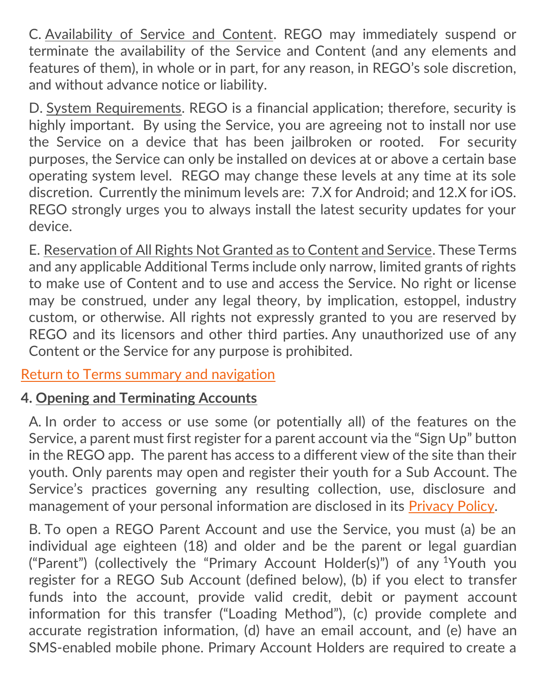C. Availability of Service and Content. REGO may immediately suspend or terminate the availability of the Service and Content (and any elements and features of them), in whole or in part, for any reason, in REGO's sole discretion, and without advance notice or liability.

D. System Requirements. REGO is a financial application; therefore, security is highly important. By using the Service, you are agreeing not to install nor use the Service on a device that has been jailbroken or rooted. For security purposes, the Service can only be installed on devices at or above a certain base operating system level. REGO may change these levels at any time at its sole discretion. Currently the minimum levels are: 7.X for Android; and 12.X for iOS. REGO strongly urges you to always install the latest security updates for your device.

E. Reservation of All Rights Not Granted as to Content and Service. These Terms and any applicable Additional Terms include only narrow, limited grants of rights to make use of Content and to use and access the Service. No right or license may be construed, under any legal theory, by implication, estoppel, industry custom, or otherwise. All rights not expressly granted to you are reserved by REGO and its licensors and other third parties. Any unauthorized use of any Content or the Service for any purpose is prohibited.

[Return to Terms summary and navigation](#page-2-0)

## **4. Opening and Terminating Accounts**

<span id="page-13-0"></span>A. In order to access or use some (or potentially all) of the features on the Service, a parent must first register for a parent account via the "Sign Up" button in the REGO app. The parent has access to a different view of the site than their youth. Only parents may open and register their youth for a Sub Account. The Service's practices governing any resulting collection, use, disclosure and management of your personal information are disclosed in its [Privacy Policy.](https://mazoola.co/app-privacy-policy/)

B. To open a REGO Parent Account and use the Service, you must (a) be an individual age eighteen (18) and older and be the parent or legal guardian ("Parent") (collectively the "Primary Account Holder(s)") of any <sup>1</sup>Youth you register for a REGO Sub Account (defined below), (b) if you elect to transfer funds into the account, provide valid credit, debit or payment account information for this transfer ("Loading Method"), (c) provide complete and accurate registration information, (d) have an email account, and (e) have an SMS-enabled mobile phone. Primary Account Holders are required to create a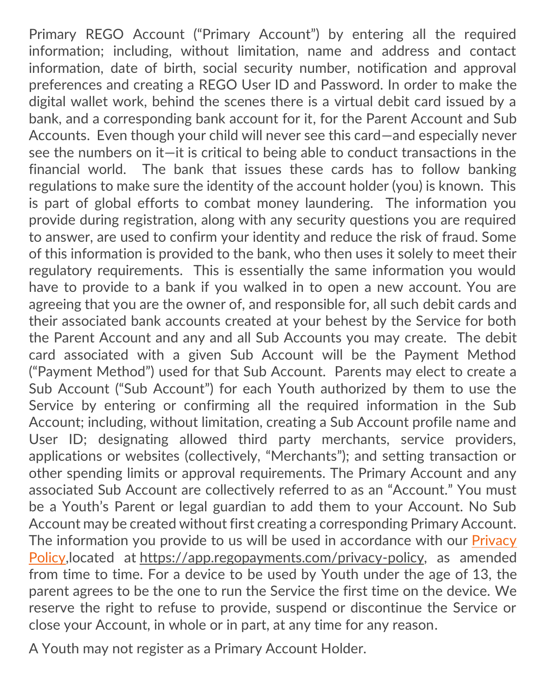Primary REGO Account ("Primary Account") by entering all the required information; including, without limitation, name and address and contact information, date of birth, social security number, notification and approval preferences and creating a REGO User ID and Password. In order to make the digital wallet work, behind the scenes there is a virtual debit card issued by a bank, and a corresponding bank account for it, for the Parent Account and Sub Accounts. Even though your child will never see this card—and especially never see the numbers on it—it is critical to being able to conduct transactions in the financial world. The bank that issues these cards has to follow banking regulations to make sure the identity of the account holder (you) is known. This is part of global efforts to combat money laundering. The information you provide during registration, along with any security questions you are required to answer, are used to confirm your identity and reduce the risk of fraud. Some of this information is provided to the bank, who then uses it solely to meet their regulatory requirements. This is essentially the same information you would have to provide to a bank if you walked in to open a new account. You are agreeing that you are the owner of, and responsible for, all such debit cards and their associated bank accounts created at your behest by the Service for both the Parent Account and any and all Sub Accounts you may create. The debit card associated with a given Sub Account will be the Payment Method ("Payment Method") used for that Sub Account. Parents may elect to create a Sub Account ("Sub Account") for each Youth authorized by them to use the Service by entering or confirming all the required information in the Sub Account; including, without limitation, creating a Sub Account profile name and User ID; designating allowed third party merchants, service providers, applications or websites (collectively, "Merchants"); and setting transaction or other spending limits or approval requirements. The Primary Account and any associated Sub Account are collectively referred to as an "Account." You must be a Youth's Parent or legal guardian to add them to your Account. No Sub Account may be created without first creating a corresponding Primary Account. The information you provide to us will be used in accordance with our Privacy [Policy,](https://mazoola.co/app-privacy-policy/)located at [https://app.regopayments.com/privacy-policy,](https://mazoola.co/app-privacy-policy/) as amended from time to time. For a device to be used by Youth under the age of 13, the parent agrees to be the one to run the Service the first time on the device. We reserve the right to refuse to provide, suspend or discontinue the Service or close your Account, in whole or in part, at any time for any reason.

A Youth may not register as a Primary Account Holder.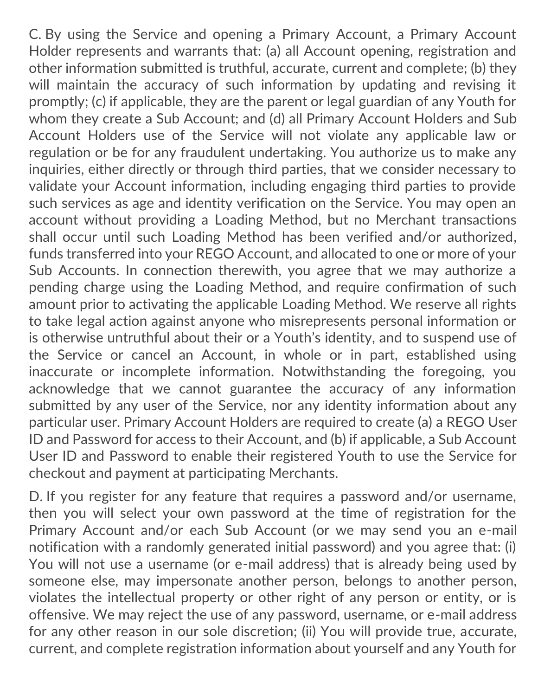C. By using the Service and opening a Primary Account, a Primary Account Holder represents and warrants that: (a) all Account opening, registration and other information submitted is truthful, accurate, current and complete; (b) they will maintain the accuracy of such information by updating and revising it promptly; (c) if applicable, they are the parent or legal guardian of any Youth for whom they create a Sub Account; and (d) all Primary Account Holders and Sub Account Holders use of the Service will not violate any applicable law or regulation or be for any fraudulent undertaking. You authorize us to make any inquiries, either directly or through third parties, that we consider necessary to validate your Account information, including engaging third parties to provide such services as age and identity verification on the Service. You may open an account without providing a Loading Method, but no Merchant transactions shall occur until such Loading Method has been verified and/or authorized, funds transferred into your REGO Account, and allocated to one or more of your Sub Accounts. In connection therewith, you agree that we may authorize a pending charge using the Loading Method, and require confirmation of such amount prior to activating the applicable Loading Method. We reserve all rights to take legal action against anyone who misrepresents personal information or is otherwise untruthful about their or a Youth's identity, and to suspend use of the Service or cancel an Account, in whole or in part, established using inaccurate or incomplete information. Notwithstanding the foregoing, you acknowledge that we cannot guarantee the accuracy of any information submitted by any user of the Service, nor any identity information about any particular user. Primary Account Holders are required to create (a) a REGO User ID and Password for access to their Account, and (b) if applicable, a Sub Account User ID and Password to enable their registered Youth to use the Service for checkout and payment at participating Merchants.

D. If you register for any feature that requires a password and/or username, then you will select your own password at the time of registration for the Primary Account and/or each Sub Account (or we may send you an e-mail notification with a randomly generated initial password) and you agree that: (i) You will not use a username (or e-mail address) that is already being used by someone else, may impersonate another person, belongs to another person, violates the intellectual property or other right of any person or entity, or is offensive. We may reject the use of any password, username, or e-mail address for any other reason in our sole discretion; (ii) You will provide true, accurate, current, and complete registration information about yourself and any Youth for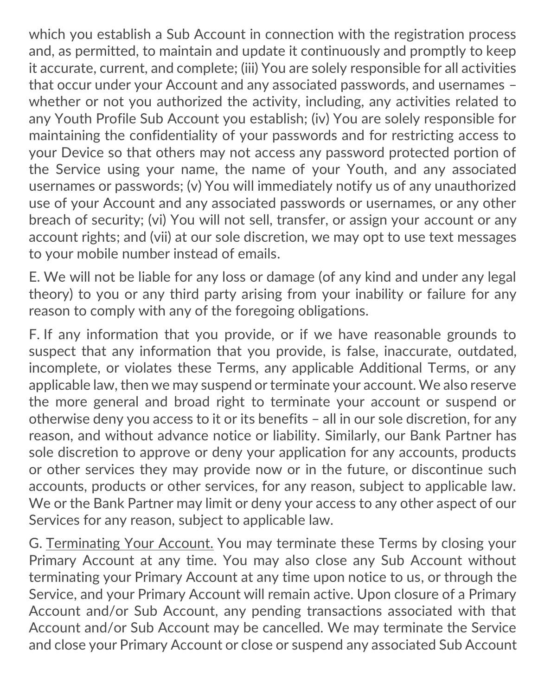which you establish a Sub Account in connection with the registration process and, as permitted, to maintain and update it continuously and promptly to keep it accurate, current, and complete; (iii) You are solely responsible for all activities that occur under your Account and any associated passwords, and usernames – whether or not you authorized the activity, including, any activities related to any Youth Profile Sub Account you establish; (iv) You are solely responsible for maintaining the confidentiality of your passwords and for restricting access to your Device so that others may not access any password protected portion of the Service using your name, the name of your Youth, and any associated usernames or passwords; (v) You will immediately notify us of any unauthorized use of your Account and any associated passwords or usernames, or any other breach of security; (vi) You will not sell, transfer, or assign your account or any account rights; and (vii) at our sole discretion, we may opt to use text messages to your mobile number instead of emails.

E. We will not be liable for any loss or damage (of any kind and under any legal theory) to you or any third party arising from your inability or failure for any reason to comply with any of the foregoing obligations.

F. If any information that you provide, or if we have reasonable grounds to suspect that any information that you provide, is false, inaccurate, outdated, incomplete, or violates these Terms, any applicable Additional Terms, or any applicable law, then we may suspend or terminate your account. We also reserve the more general and broad right to terminate your account or suspend or otherwise deny you access to it or its benefits – all in our sole discretion, for any reason, and without advance notice or liability. Similarly, our Bank Partner has sole discretion to approve or deny your application for any accounts, products or other services they may provide now or in the future, or discontinue such accounts, products or other services, for any reason, subject to applicable law. We or the Bank Partner may limit or deny your access to any other aspect of our Services for any reason, subject to applicable law.

G. Terminating Your Account. You may terminate these Terms by closing your Primary Account at any time. You may also close any Sub Account without terminating your Primary Account at any time upon notice to us, or through the Service, and your Primary Account will remain active. Upon closure of a Primary Account and/or Sub Account, any pending transactions associated with that Account and/or Sub Account may be cancelled. We may terminate the Service and close your Primary Account or close or suspend any associated Sub Account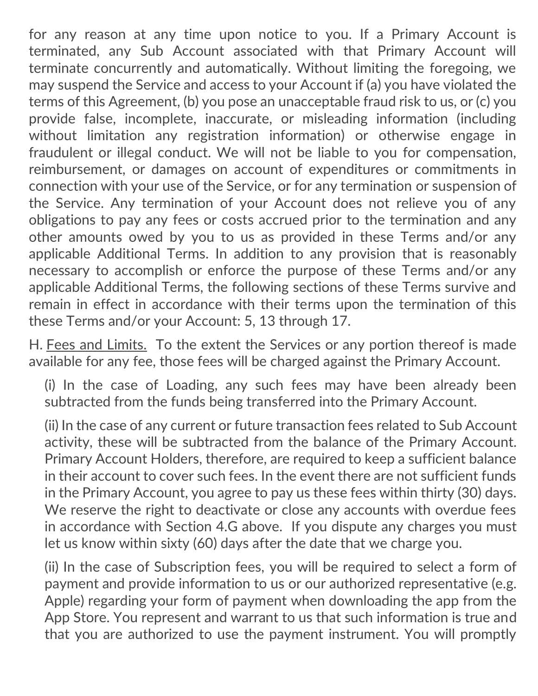for any reason at any time upon notice to you. If a Primary Account is terminated, any Sub Account associated with that Primary Account will terminate concurrently and automatically. Without limiting the foregoing, we may suspend the Service and access to your Account if (a) you have violated the terms of this Agreement, (b) you pose an unacceptable fraud risk to us, or (c) you provide false, incomplete, inaccurate, or misleading information (including without limitation any registration information) or otherwise engage in fraudulent or illegal conduct. We will not be liable to you for compensation, reimbursement, or damages on account of expenditures or commitments in connection with your use of the Service, or for any termination or suspension of the Service. Any termination of your Account does not relieve you of any obligations to pay any fees or costs accrued prior to the termination and any other amounts owed by you to us as provided in these Terms and/or any applicable Additional Terms. In addition to any provision that is reasonably necessary to accomplish or enforce the purpose of these Terms and/or any applicable Additional Terms, the following sections of these Terms survive and remain in effect in accordance with their terms upon the termination of this these Terms and/or your Account: 5, 13 through 17.

H. Fees and Limits. To the extent the Services or any portion thereof is made available for any fee, those fees will be charged against the Primary Account.

<span id="page-17-0"></span>(i) In the case of Loading, any such fees may have been already been subtracted from the funds being transferred into the Primary Account.

(ii) In the case of any current or future transaction fees related to Sub Account activity, these will be subtracted from the balance of the Primary Account. Primary Account Holders, therefore, are required to keep a sufficient balance in their account to cover such fees. In the event there are not sufficient funds in the Primary Account, you agree to pay us these fees within thirty (30) days. We reserve the right to deactivate or close any accounts with overdue fees in accordance with Section 4.G above. If you dispute any charges you must let us know within sixty (60) days after the date that we charge you.

(ii) In the case of Subscription fees, you will be required to select a form of payment and provide information to us or our authorized representative (e.g. Apple) regarding your form of payment when downloading the app from the App Store. You represent and warrant to us that such information is true and that you are authorized to use the payment instrument. You will promptly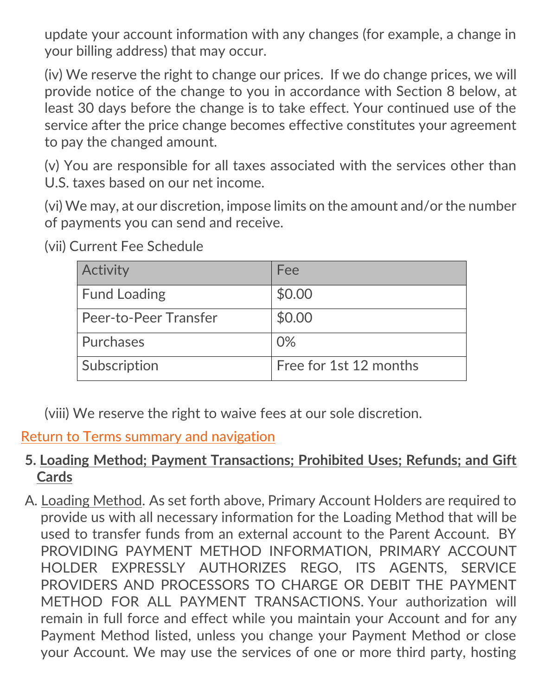update your account information with any changes (for example, a change in your billing address) that may occur.

(iv) We reserve the right to change our prices. If we do change prices, we will provide notice of the change to you in accordance with Section 8 below, at least 30 days before the change is to take effect. Your continued use of the service after the price change becomes effective constitutes your agreement to pay the changed amount.

(v) You are responsible for all taxes associated with the services other than U.S. taxes based on our net income.

(vi) We may, at our discretion, impose limits on the amount and/or the number of payments you can send and receive.

| Activity              | Fee                    |
|-----------------------|------------------------|
| <b>Fund Loading</b>   | \$0.00                 |
| Peer-to-Peer Transfer | \$0.00                 |
| Purchases             | 0%                     |
| Subscription          | Free for 1st 12 months |

(vii) Current Fee Schedule

(viii) We reserve the right to waive fees at our sole discretion.

#### [Return to Terms summary and navigation](#page-2-0)

#### **5. Loading Method; Payment Transactions; Prohibited Uses; Refunds; and Gift Cards**

A. Loading Method. As set forth above, Primary Account Holders are required to provide us with all necessary information for the Loading Method that will be used to transfer funds from an external account to the Parent Account. BY PROVIDING PAYMENT METHOD INFORMATION, PRIMARY ACCOUNT HOLDER EXPRESSLY AUTHORIZES REGO, ITS AGENTS, SERVICE PROVIDERS AND PROCESSORS TO CHARGE OR DEBIT THE PAYMENT METHOD FOR ALL PAYMENT TRANSACTIONS. Your authorization will remain in full force and effect while you maintain your Account and for any Payment Method listed, unless you change your Payment Method or close your Account. We may use the services of one or more third party, hosting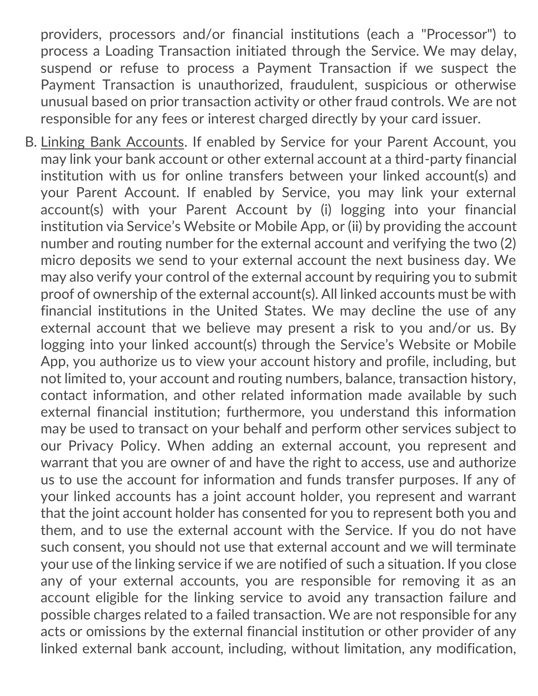providers, processors and/or financial institutions (each a "Processor") to process a Loading Transaction initiated through the Service. We may delay, suspend or refuse to process a Payment Transaction if we suspect the Payment Transaction is unauthorized, fraudulent, suspicious or otherwise unusual based on prior transaction activity or other fraud controls. We are not responsible for any fees or interest charged directly by your card issuer.

B. Linking Bank Accounts. If enabled by Service for your Parent Account, you may link your bank account or other external account at a third-party financial institution with us for online transfers between your linked account(s) and your Parent Account. If enabled by Service, you may link your external account(s) with your Parent Account by (i) logging into your financial institution via Service's Website or Mobile App, or (ii) by providing the account number and routing number for the external account and verifying the two (2) micro deposits we send to your external account the next business day. We may also verify your control of the external account by requiring you to submit proof of ownership of the external account(s). All linked accounts must be with financial institutions in the United States. We may decline the use of any external account that we believe may present a risk to you and/or us. By logging into your linked account(s) through the Service's Website or Mobile App, you authorize us to view your account history and profile, including, but not limited to, your account and routing numbers, balance, transaction history, contact information, and other related information made available by such external financial institution; furthermore, you understand this information may be used to transact on your behalf and perform other services subject to our Privacy Policy. When adding an external account, you represent and warrant that you are owner of and have the right to access, use and authorize us to use the account for information and funds transfer purposes. If any of your linked accounts has a joint account holder, you represent and warrant that the joint account holder has consented for you to represent both you and them, and to use the external account with the Service. If you do not have such consent, you should not use that external account and we will terminate your use of the linking service if we are notified of such a situation. If you close any of your external accounts, you are responsible for removing it as an account eligible for the linking service to avoid any transaction failure and possible charges related to a failed transaction. We are not responsible for any acts or omissions by the external financial institution or other provider of any linked external bank account, including, without limitation, any modification,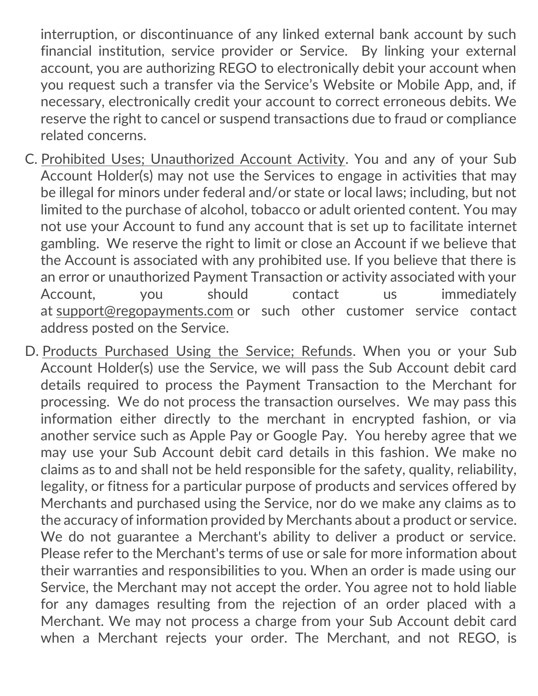interruption, or discontinuance of any linked external bank account by such financial institution, service provider or Service. By linking your external account, you are authorizing REGO to electronically debit your account when you request such a transfer via the Service's Website or Mobile App, and, if necessary, electronically credit your account to correct erroneous debits. We reserve the right to cancel or suspend transactions due to fraud or compliance related concerns.

- C. Prohibited Uses; Unauthorized Account Activity. You and any of your Sub Account Holder(s) may not use the Services to engage in activities that may be illegal for minors under federal and/or state or local laws; including, but not limited to the purchase of alcohol, tobacco or adult oriented content. You may not use your Account to fund any account that is set up to facilitate internet gambling. We reserve the right to limit or close an Account if we believe that the Account is associated with any prohibited use. If you believe that there is an error or unauthorized Payment Transaction or activity associated with your Account, you should contact us immediately at [support@regopayments.com](mailto:support@regopayments.com) or such other customer service contact address posted on the Service.
- D. Products Purchased Using the Service; Refunds. When you or your Sub Account Holder(s) use the Service, we will pass the Sub Account debit card details required to process the Payment Transaction to the Merchant for processing. We do not process the transaction ourselves. We may pass this information either directly to the merchant in encrypted fashion, or via another service such as Apple Pay or Google Pay. You hereby agree that we may use your Sub Account debit card details in this fashion. We make no claims as to and shall not be held responsible for the safety, quality, reliability, legality, or fitness for a particular purpose of products and services offered by Merchants and purchased using the Service, nor do we make any claims as to the accuracy of information provided by Merchants about a product or service. We do not guarantee a Merchant's ability to deliver a product or service. Please refer to the Merchant's terms of use or sale for more information about their warranties and responsibilities to you. When an order is made using our Service, the Merchant may not accept the order. You agree not to hold liable for any damages resulting from the rejection of an order placed with a Merchant. We may not process a charge from your Sub Account debit card when a Merchant rejects your order. The Merchant, and not REGO, is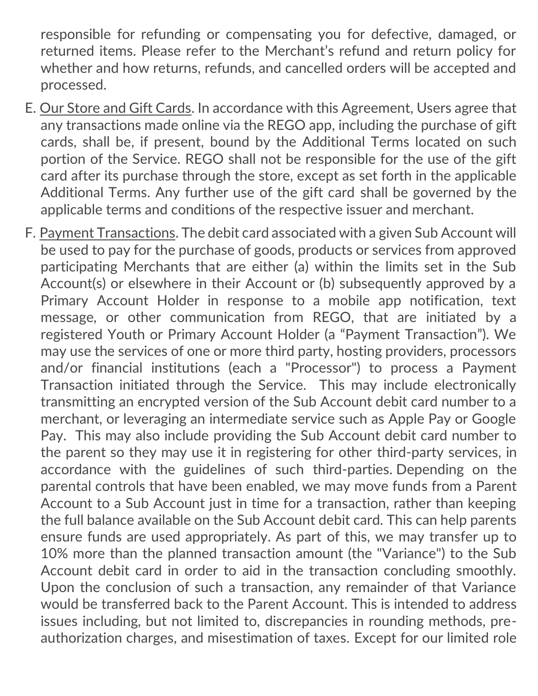responsible for refunding or compensating you for defective, damaged, or returned items. Please refer to the Merchant's refund and return policy for whether and how returns, refunds, and cancelled orders will be accepted and processed.

- E. Our Store and Gift Cards. In accordance with this Agreement, Users agree that any transactions made online via the REGO app, including the purchase of gift cards, shall be, if present, bound by the Additional Terms located on such portion of the Service. REGO shall not be responsible for the use of the gift card after its purchase through the store, except as set forth in the applicable Additional Terms. Any further use of the gift card shall be governed by the applicable terms and conditions of the respective issuer and merchant.
- <span id="page-21-0"></span>F. Payment Transactions. The debit card associated with a given Sub Account will be used to pay for the purchase of goods, products or services from approved participating Merchants that are either (a) within the limits set in the Sub Account(s) or elsewhere in their Account or (b) subsequently approved by a Primary Account Holder in response to a mobile app notification, text message, or other communication from REGO, that are initiated by a registered Youth or Primary Account Holder (a "Payment Transaction"). We may use the services of one or more third party, hosting providers, processors and/or financial institutions (each a "Processor") to process a Payment Transaction initiated through the Service. This may include electronically transmitting an encrypted version of the Sub Account debit card number to a merchant, or leveraging an intermediate service such as Apple Pay or Google Pay. This may also include providing the Sub Account debit card number to the parent so they may use it in registering for other third-party services, in accordance with the guidelines of such third-parties. Depending on the parental controls that have been enabled, we may move funds from a Parent Account to a Sub Account just in time for a transaction, rather than keeping the full balance available on the Sub Account debit card. This can help parents ensure funds are used appropriately. As part of this, we may transfer up to 10% more than the planned transaction amount (the "Variance") to the Sub Account debit card in order to aid in the transaction concluding smoothly. Upon the conclusion of such a transaction, any remainder of that Variance would be transferred back to the Parent Account. This is intended to address issues including, but not limited to, discrepancies in rounding methods, preauthorization charges, and misestimation of taxes. Except for our limited role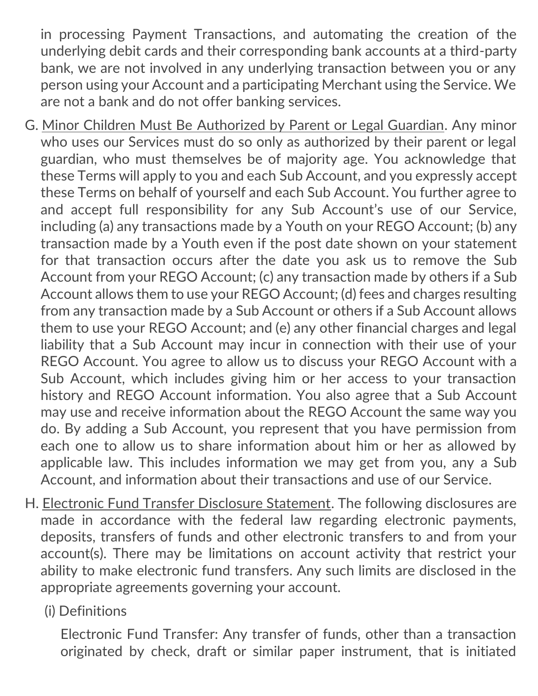in processing Payment Transactions, and automating the creation of the underlying debit cards and their corresponding bank accounts at a third-party bank, we are not involved in any underlying transaction between you or any person using your Account and a participating Merchant using the Service. We are not a bank and do not offer banking services.

- G. Minor Children Must Be Authorized by Parent or Legal Guardian. Any minor who uses our Services must do so only as authorized by their parent or legal guardian, who must themselves be of majority age. You acknowledge that these Terms will apply to you and each Sub Account, and you expressly accept these Terms on behalf of yourself and each Sub Account. You further agree to and accept full responsibility for any Sub Account's use of our Service, including (a) any transactions made by a Youth on your REGO Account; (b) any transaction made by a Youth even if the post date shown on your statement for that transaction occurs after the date you ask us to remove the Sub Account from your REGO Account; (c) any transaction made by others if a Sub Account allows them to use your REGO Account; (d) fees and charges resulting from any transaction made by a Sub Account or others if a Sub Account allows them to use your REGO Account; and (e) any other financial charges and legal liability that a Sub Account may incur in connection with their use of your REGO Account. You agree to allow us to discuss your REGO Account with a Sub Account, which includes giving him or her access to your transaction history and REGO Account information. You also agree that a Sub Account may use and receive information about the REGO Account the same way you do. By adding a Sub Account, you represent that you have permission from each one to allow us to share information about him or her as allowed by applicable law. This includes information we may get from you, any a Sub Account, and information about their transactions and use of our Service.
- H. Electronic Fund Transfer Disclosure Statement. The following disclosures are made in accordance with the federal law regarding electronic payments, deposits, transfers of funds and other electronic transfers to and from your account(s). There may be limitations on account activity that restrict your ability to make electronic fund transfers. Any such limits are disclosed in the appropriate agreements governing your account.

## (i) Definitions

Electronic Fund Transfer: Any transfer of funds, other than a transaction originated by check, draft or similar paper instrument, that is initiated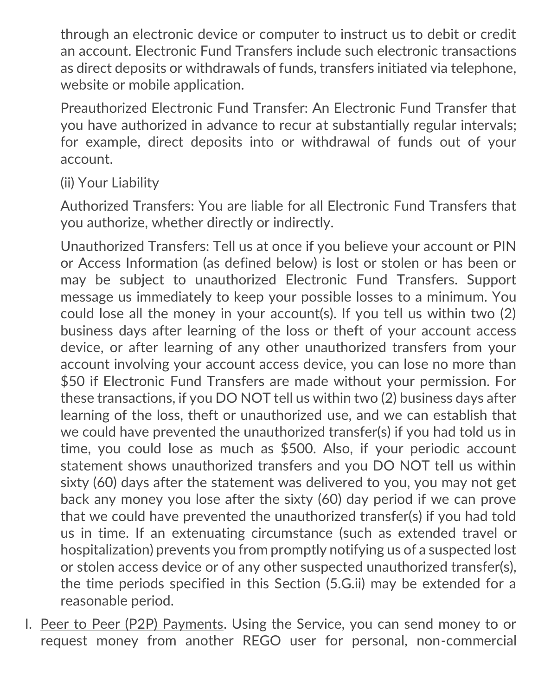through an electronic device or computer to instruct us to debit or credit an account. Electronic Fund Transfers include such electronic transactions as direct deposits or withdrawals of funds, transfers initiated via telephone, website or mobile application.

Preauthorized Electronic Fund Transfer: An Electronic Fund Transfer that you have authorized in advance to recur at substantially regular intervals; for example, direct deposits into or withdrawal of funds out of your account.

(ii) Your Liability

Authorized Transfers: You are liable for all Electronic Fund Transfers that you authorize, whether directly or indirectly.

Unauthorized Transfers: Tell us at once if you believe your account or PIN or Access Information (as defined below) is lost or stolen or has been or may be subject to unauthorized Electronic Fund Transfers. Support message us immediately to keep your possible losses to a minimum. You could lose all the money in your account(s). If you tell us within two (2) business days after learning of the loss or theft of your account access device, or after learning of any other unauthorized transfers from your account involving your account access device, you can lose no more than \$50 if Electronic Fund Transfers are made without your permission. For these transactions, if you DO NOT tell us within two (2) business days after learning of the loss, theft or unauthorized use, and we can establish that we could have prevented the unauthorized transfer(s) if you had told us in time, you could lose as much as \$500. Also, if your periodic account statement shows unauthorized transfers and you DO NOT tell us within sixty (60) days after the statement was delivered to you, you may not get back any money you lose after the sixty (60) day period if we can prove that we could have prevented the unauthorized transfer(s) if you had told us in time. If an extenuating circumstance (such as extended travel or hospitalization) prevents you from promptly notifying us of a suspected lost or stolen access device or of any other suspected unauthorized transfer(s), the time periods specified in this Section (5.G.ii) may be extended for a reasonable period.

I. Peer to Peer (P2P) Payments. Using the Service, you can send money to or request money from another REGO user for personal, non-commercial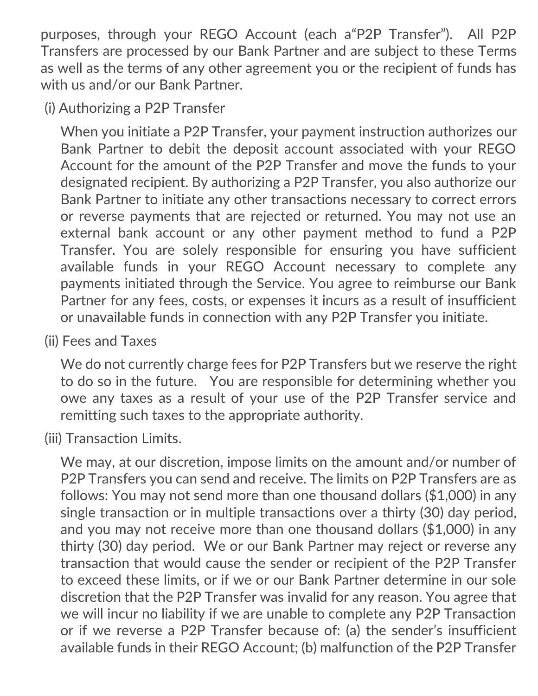purposes, through your REGO Account (each a"P2P Transfer"). All P2P Transfers are processed by our Bank Partner and are subject to these Terms as well as the terms of any other agreement you or the recipient of funds has with us and/or our Bank Partner.

(i) Authorizing a P2P Transfer

When you initiate a P2P Transfer, your payment instruction authorizes our Bank Partner to debit the deposit account associated with your REGO Account for the amount of the P2P Transfer and move the funds to your designated recipient. By authorizing a P2P Transfer, you also authorize our Bank Partner to initiate any other transactions necessary to correct errors or reverse payments that are rejected or returned. You may not use an external bank account or any other payment method to fund a P2P Transfer. You are solely responsible for ensuring you have sufficient available funds in your REGO Account necessary to complete any payments initiated through the Service. You agree to reimburse our Bank Partner for any fees, costs, or expenses it incurs as a result of insufficient or unavailable funds in connection with any P2P Transfer you initiate.

(ii) Fees and Taxes

We do not currently charge fees for P2P Transfers but we reserve the right to do so in the future. You are responsible for determining whether you owe any taxes as a result of your use of the P2P Transfer service and remitting such taxes to the appropriate authority.

(iii) Transaction Limits.

We may, at our discretion, impose limits on the amount and/or number of P2P Transfers you can send and receive. The limits on P2P Transfers are as follows: You may not send more than one thousand dollars (\$1,000) in any single transaction or in multiple transactions over a thirty (30) day period, and you may not receive more than one thousand dollars (\$1,000) in any thirty (30) day period. We or our Bank Partner may reject or reverse any transaction that would cause the sender or recipient of the P2P Transfer to exceed these limits, or if we or our Bank Partner determine in our sole discretion that the P2P Transfer was invalid for any reason. You agree that we will incur no liability if we are unable to complete any P2P Transaction or if we reverse a P2P Transfer because of: (a) the sender's insufficient available funds in their REGO Account; (b) malfunction of the P2P Transfer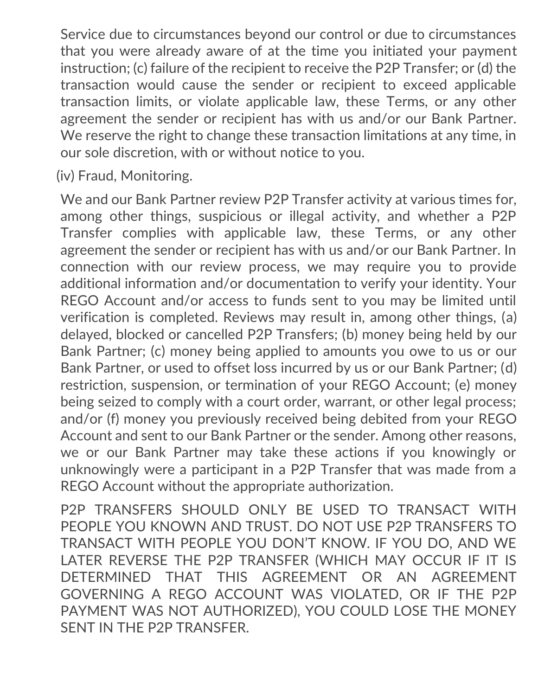Service due to circumstances beyond our control or due to circumstances that you were already aware of at the time you initiated your payment instruction; (c) failure of the recipient to receive the P2P Transfer; or (d) the transaction would cause the sender or recipient to exceed applicable transaction limits, or violate applicable law, these Terms, or any other agreement the sender or recipient has with us and/or our Bank Partner. We reserve the right to change these transaction limitations at any time, in our sole discretion, with or without notice to you.

(iv) Fraud, Monitoring.

We and our Bank Partner review P2P Transfer activity at various times for, among other things, suspicious or illegal activity, and whether a P2P Transfer complies with applicable law, these Terms, or any other agreement the sender or recipient has with us and/or our Bank Partner. In connection with our review process, we may require you to provide additional information and/or documentation to verify your identity. Your REGO Account and/or access to funds sent to you may be limited until verification is completed. Reviews may result in, among other things, (a) delayed, blocked or cancelled P2P Transfers; (b) money being held by our Bank Partner; (c) money being applied to amounts you owe to us or our Bank Partner, or used to offset loss incurred by us or our Bank Partner; (d) restriction, suspension, or termination of your REGO Account; (e) money being seized to comply with a court order, warrant, or other legal process; and/or (f) money you previously received being debited from your REGO Account and sent to our Bank Partner or the sender. Among other reasons, we or our Bank Partner may take these actions if you knowingly or unknowingly were a participant in a P2P Transfer that was made from a REGO Account without the appropriate authorization.

P2P TRANSFERS SHOULD ONLY BE USED TO TRANSACT WITH PEOPLE YOU KNOWN AND TRUST. DO NOT USE P2P TRANSFERS TO TRANSACT WITH PEOPLE YOU DON'T KNOW. IF YOU DO, AND WE LATER REVERSE THE P2P TRANSFER (WHICH MAY OCCUR IF IT IS DETERMINED THAT THIS AGREEMENT OR AN AGREEMENT GOVERNING A REGO ACCOUNT WAS VIOLATED, OR IF THE P2P PAYMENT WAS NOT AUTHORIZED), YOU COULD LOSE THE MONEY SENT IN THE P2P TRANSFER.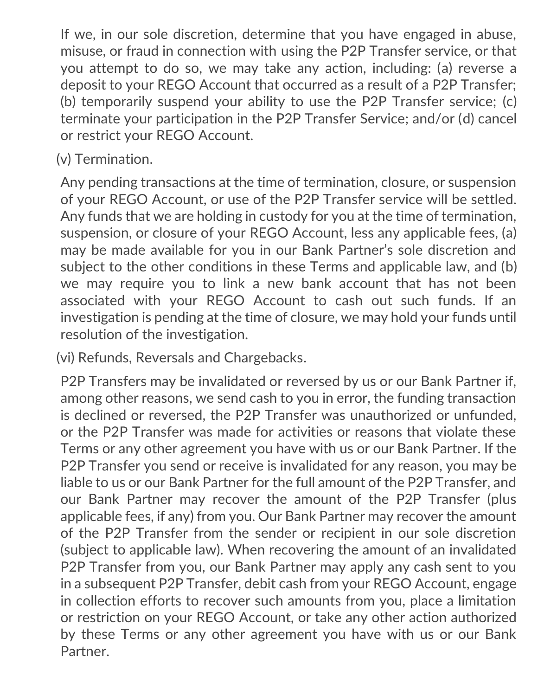If we, in our sole discretion, determine that you have engaged in abuse, misuse, or fraud in connection with using the P2P Transfer service, or that you attempt to do so, we may take any action, including: (a) reverse a deposit to your REGO Account that occurred as a result of a P2P Transfer; (b) temporarily suspend your ability to use the P2P Transfer service; (c) terminate your participation in the P2P Transfer Service; and/or (d) cancel or restrict your REGO Account.

## (v) Termination.

Any pending transactions at the time of termination, closure, or suspension of your REGO Account, or use of the P2P Transfer service will be settled. Any funds that we are holding in custody for you at the time of termination, suspension, or closure of your REGO Account, less any applicable fees, (a) may be made available for you in our Bank Partner's sole discretion and subject to the other conditions in these Terms and applicable law, and (b) we may require you to link a new bank account that has not been associated with your REGO Account to cash out such funds. If an investigation is pending at the time of closure, we may hold your funds until resolution of the investigation.

(vi) Refunds, Reversals and Chargebacks.

P2P Transfers may be invalidated or reversed by us or our Bank Partner if, among other reasons, we send cash to you in error, the funding transaction is declined or reversed, the P2P Transfer was unauthorized or unfunded, or the P2P Transfer was made for activities or reasons that violate these Terms or any other agreement you have with us or our Bank Partner. If the P2P Transfer you send or receive is invalidated for any reason, you may be liable to us or our Bank Partner for the full amount of the P2P Transfer, and our Bank Partner may recover the amount of the P2P Transfer (plus applicable fees, if any) from you. Our Bank Partner may recover the amount of the P2P Transfer from the sender or recipient in our sole discretion (subject to applicable law). When recovering the amount of an invalidated P2P Transfer from you, our Bank Partner may apply any cash sent to you in a subsequent P2P Transfer, debit cash from your REGO Account, engage in collection efforts to recover such amounts from you, place a limitation or restriction on your REGO Account, or take any other action authorized by these Terms or any other agreement you have with us or our Bank Partner.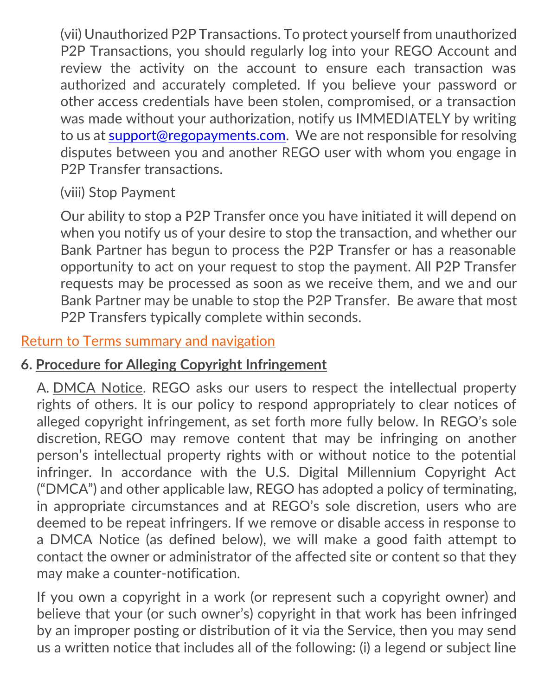(vii) Unauthorized P2P Transactions. To protect yourself from unauthorized P2P Transactions, you should regularly log into your REGO Account and review the activity on the account to ensure each transaction was authorized and accurately completed. If you believe your password or other access credentials have been stolen, compromised, or a transaction was made without your authorization, notify us IMMEDIATELY by writing to us at [support@regopayments.com.](mailto:support@regopayments.com) We are not responsible for resolving disputes between you and another REGO user with whom you engage in P2P Transfer transactions.

(viii) Stop Payment

Our ability to stop a P2P Transfer once you have initiated it will depend on when you notify us of your desire to stop the transaction, and whether our Bank Partner has begun to process the P2P Transfer or has a reasonable opportunity to act on your request to stop the payment. All P2P Transfer requests may be processed as soon as we receive them, and we and our Bank Partner may be unable to stop the P2P Transfer. Be aware that most P2P Transfers typically complete within seconds.

## [Return to Terms summary and navigation](#page-2-0)

## **6. Procedure for Alleging Copyright Infringement**

A. DMCA Notice. REGO asks our users to respect the intellectual property rights of others. It is our policy to respond appropriately to clear notices of alleged copyright infringement, as set forth more fully below. In REGO's sole discretion, REGO may remove content that may be infringing on another person's intellectual property rights with or without notice to the potential infringer. In accordance with the U.S. Digital Millennium Copyright Act ("DMCA") and other applicable law, REGO has adopted a policy of terminating, in appropriate circumstances and at REGO's sole discretion, users who are deemed to be repeat infringers. If we remove or disable access in response to a DMCA Notice (as defined below), we will make a good faith attempt to contact the owner or administrator of the affected site or content so that they may make a counter-notification.

If you own a copyright in a work (or represent such a copyright owner) and believe that your (or such owner's) copyright in that work has been infringed by an improper posting or distribution of it via the Service, then you may send us a written notice that includes all of the following: (i) a legend or subject line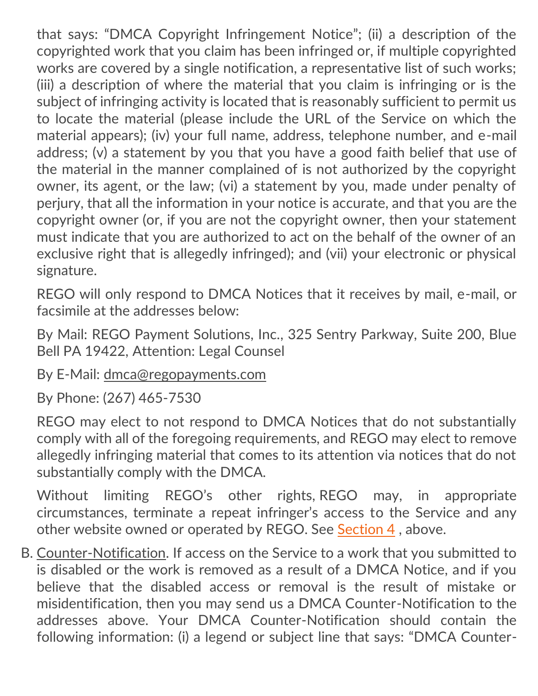that says: "DMCA Copyright Infringement Notice"; (ii) a description of the copyrighted work that you claim has been infringed or, if multiple copyrighted works are covered by a single notification, a representative list of such works; (iii) a description of where the material that you claim is infringing or is the subject of infringing activity is located that is reasonably sufficient to permit us to locate the material (please include the URL of the Service on which the material appears); (iv) your full name, address, telephone number, and e-mail address; (v) a statement by you that you have a good faith belief that use of the material in the manner complained of is not authorized by the copyright owner, its agent, or the law; (vi) a statement by you, made under penalty of perjury, that all the information in your notice is accurate, and that you are the copyright owner (or, if you are not the copyright owner, then your statement must indicate that you are authorized to act on the behalf of the owner of an exclusive right that is allegedly infringed); and (vii) your electronic or physical signature.

REGO will only respond to DMCA Notices that it receives by mail, e-mail, or facsimile at the addresses below:

By Mail: REGO Payment Solutions, Inc., 325 Sentry Parkway, Suite 200, Blue Bell PA 19422, Attention: Legal Counsel

By E-Mail: [dmca@regopayments.com](mailto:dmca@regopayments.com)

By Phone: (267) 465-7530

REGO may elect to not respond to DMCA Notices that do not substantially comply with all of the foregoing requirements, and REGO may elect to remove allegedly infringing material that comes to its attention via notices that do not substantially comply with the DMCA.

Without limiting REGO's other rights, REGO may, in appropriate circumstances, terminate a repeat infringer's access to the Service and any other website owned or operated by REGO. See [Section 4](#page-13-0) , above.

B. Counter-Notification. If access on the Service to a work that you submitted to is disabled or the work is removed as a result of a DMCA Notice, and if you believe that the disabled access or removal is the result of mistake or misidentification, then you may send us a DMCA Counter-Notification to the addresses above. Your DMCA Counter-Notification should contain the following information: (i) a legend or subject line that says: "DMCA Counter-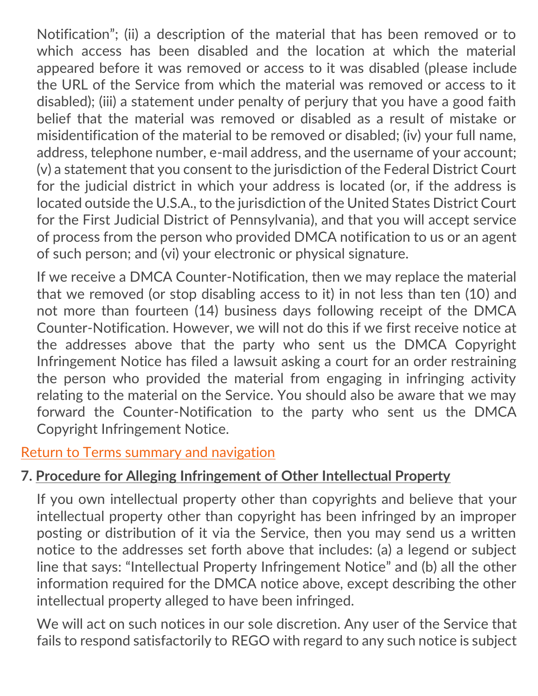Notification"; (ii) a description of the material that has been removed or to which access has been disabled and the location at which the material appeared before it was removed or access to it was disabled (please include the URL of the Service from which the material was removed or access to it disabled); (iii) a statement under penalty of perjury that you have a good faith belief that the material was removed or disabled as a result of mistake or misidentification of the material to be removed or disabled; (iv) your full name, address, telephone number, e-mail address, and the username of your account; (v) a statement that you consent to the jurisdiction of the Federal District Court for the judicial district in which your address is located (or, if the address is located outside the U.S.A., to the jurisdiction of the United States District Court for the First Judicial District of Pennsylvania), and that you will accept service of process from the person who provided DMCA notification to us or an agent of such person; and (vi) your electronic or physical signature.

If we receive a DMCA Counter-Notification, then we may replace the material that we removed (or stop disabling access to it) in not less than ten (10) and not more than fourteen (14) business days following receipt of the DMCA Counter-Notification. However, we will not do this if we first receive notice at the addresses above that the party who sent us the DMCA Copyright Infringement Notice has filed a lawsuit asking a court for an order restraining the person who provided the material from engaging in infringing activity relating to the material on the Service. You should also be aware that we may forward the Counter-Notification to the party who sent us the DMCA Copyright Infringement Notice.

## [Return to Terms summary and navigation](#page-2-0)

# **7. Procedure for Alleging Infringement of Other Intellectual Property**

<span id="page-29-0"></span>If you own intellectual property other than copyrights and believe that your intellectual property other than copyright has been infringed by an improper posting or distribution of it via the Service, then you may send us a written notice to the addresses set forth above that includes: (a) a legend or subject line that says: "Intellectual Property Infringement Notice" and (b) all the other information required for the DMCA notice above, except describing the other intellectual property alleged to have been infringed.

We will act on such notices in our sole discretion. Any user of the Service that fails to respond satisfactorily to REGO with regard to any such notice is subject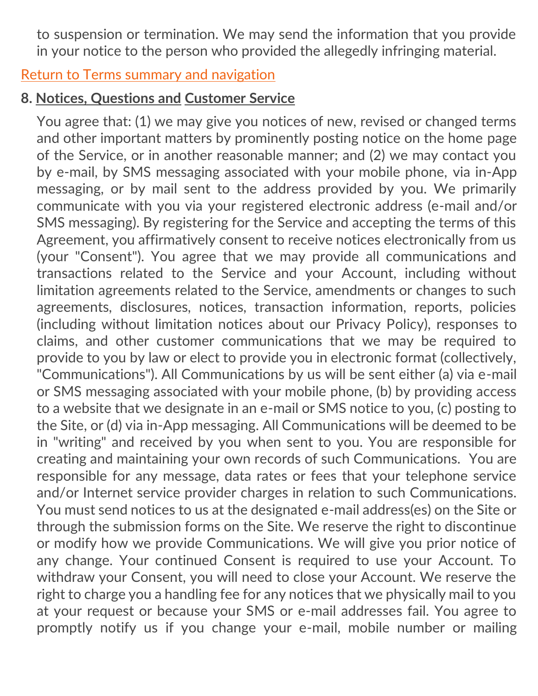<span id="page-30-0"></span>to suspension or termination. We may send the information that you provide in your notice to the person who provided the allegedly infringing material.

#### [Return to Terms summary and navigation](#page-2-0)

# **8. Notices, Questions and Customer Service**

You agree that: (1) we may give you notices of new, revised or changed terms and other important matters by prominently posting notice on the home page of the Service, or in another reasonable manner; and (2) we may contact you by e-mail, by SMS messaging associated with your mobile phone, via in-App messaging, or by mail sent to the address provided by you. We primarily communicate with you via your registered electronic address (e-mail and/or SMS messaging). By registering for the Service and accepting the terms of this Agreement, you affirmatively consent to receive notices electronically from us (your "Consent"). You agree that we may provide all communications and transactions related to the Service and your Account, including without limitation agreements related to the Service, amendments or changes to such agreements, disclosures, notices, transaction information, reports, policies (including without limitation notices about our Privacy Policy), responses to claims, and other customer communications that we may be required to provide to you by law or elect to provide you in electronic format (collectively, "Communications"). All Communications by us will be sent either (a) via e-mail or SMS messaging associated with your mobile phone, (b) by providing access to a website that we designate in an e-mail or SMS notice to you, (c) posting to the Site, or (d) via in-App messaging. All Communications will be deemed to be in "writing" and received by you when sent to you. You are responsible for creating and maintaining your own records of such Communications. You are responsible for any message, data rates or fees that your telephone service and/or Internet service provider charges in relation to such Communications. You must send notices to us at the designated e-mail address(es) on the Site or through the submission forms on the Site. We reserve the right to discontinue or modify how we provide Communications. We will give you prior notice of any change. Your continued Consent is required to use your Account. To withdraw your Consent, you will need to close your Account. We reserve the right to charge you a handling fee for any notices that we physically mail to you at your request or because your SMS or e-mail addresses fail. You agree to promptly notify us if you change your e-mail, mobile number or mailing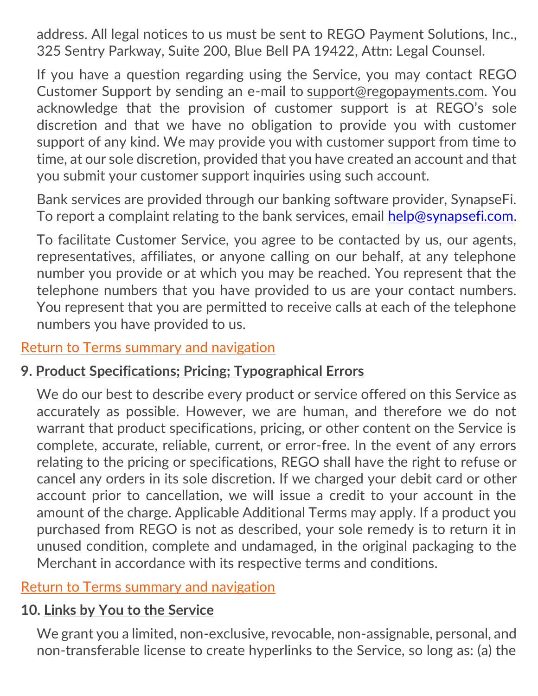address. All legal notices to us must be sent to REGO Payment Solutions, Inc., 325 Sentry Parkway, Suite 200, Blue Bell PA 19422, Attn: Legal Counsel.

If you have a question regarding using the Service, you may contact REGO Customer Support by sending an e-mail to [support@regopayments.com.](mailto:support@regopayments.com) You acknowledge that the provision of customer support is at REGO's sole discretion and that we have no obligation to provide you with customer support of any kind. We may provide you with customer support from time to time, at our sole discretion, provided that you have created an account and that you submit your customer support inquiries using such account.

<span id="page-31-0"></span>Bank services are provided through our banking software provider, SynapseFi. To report a complaint relating to the bank services, email [help@synapsefi.com.](mailto:help@synapsefi.com)

To facilitate Customer Service, you agree to be contacted by us, our agents, representatives, affiliates, or anyone calling on our behalf, at any telephone number you provide or at which you may be reached. You represent that the telephone numbers that you have provided to us are your contact numbers. You represent that you are permitted to receive calls at each of the telephone numbers you have provided to us.

#### [Return to Terms summary and navigation](#page-2-0)

#### **9. Product Specifications; Pricing; Typographical Errors**

We do our best to describe every product or service offered on this Service as accurately as possible. However, we are human, and therefore we do not warrant that product specifications, pricing, or other content on the Service is complete, accurate, reliable, current, or error-free. In the event of any errors relating to the pricing or specifications, REGO shall have the right to refuse or cancel any orders in its sole discretion. If we charged your debit card or other account prior to cancellation, we will issue a credit to your account in the amount of the charge. Applicable Additional Terms may apply. If a product you purchased from REGO is not as described, your sole remedy is to return it in unused condition, complete and undamaged, in the original packaging to the Merchant in accordance with its respective terms and conditions.

## [Return to Terms summary and navigation](#page-2-0)

#### **10. Links by You to the Service**

<span id="page-31-1"></span>We grant you a limited, non-exclusive, revocable, non-assignable, personal, and non-transferable license to create hyperlinks to the Service, so long as: (a) the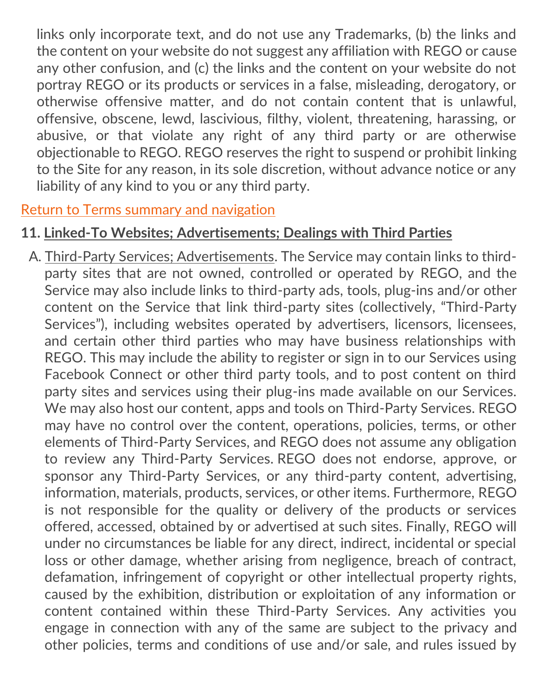links only incorporate text, and do not use any Trademarks, (b) the links and the content on your website do not suggest any affiliation with REGO or cause any other confusion, and (c) the links and the content on your website do not portray REGO or its products or services in a false, misleading, derogatory, or otherwise offensive matter, and do not contain content that is unlawful, offensive, obscene, lewd, lascivious, filthy, violent, threatening, harassing, or abusive, or that violate any right of any third party or are otherwise objectionable to REGO. REGO reserves the right to suspend or prohibit linking to the Site for any reason, in its sole discretion, without advance notice or any liability of any kind to you or any third party.

#### [Return to Terms summary and navigation](#page-2-0)

## **11. Linked-To Websites; Advertisements; Dealings with Third Parties**

<span id="page-32-0"></span>A. Third-Party Services; Advertisements. The Service may contain links to thirdparty sites that are not owned, controlled or operated by REGO, and the Service may also include links to third-party ads, tools, plug-ins and/or other content on the Service that link third-party sites (collectively, "Third-Party Services"), including websites operated by advertisers, licensors, licensees, and certain other third parties who may have business relationships with REGO. This may include the ability to register or sign in to our Services using Facebook Connect or other third party tools, and to post content on third party sites and services using their plug-ins made available on our Services. We may also host our content, apps and tools on Third-Party Services. REGO may have no control over the content, operations, policies, terms, or other elements of Third-Party Services, and REGO does not assume any obligation to review any Third-Party Services. REGO does not endorse, approve, or sponsor any Third-Party Services, or any third-party content, advertising, information, materials, products, services, or other items. Furthermore, REGO is not responsible for the quality or delivery of the products or services offered, accessed, obtained by or advertised at such sites. Finally, REGO will under no circumstances be liable for any direct, indirect, incidental or special loss or other damage, whether arising from negligence, breach of contract, defamation, infringement of copyright or other intellectual property rights, caused by the exhibition, distribution or exploitation of any information or content contained within these Third-Party Services. Any activities you engage in connection with any of the same are subject to the privacy and other policies, terms and conditions of use and/or sale, and rules issued by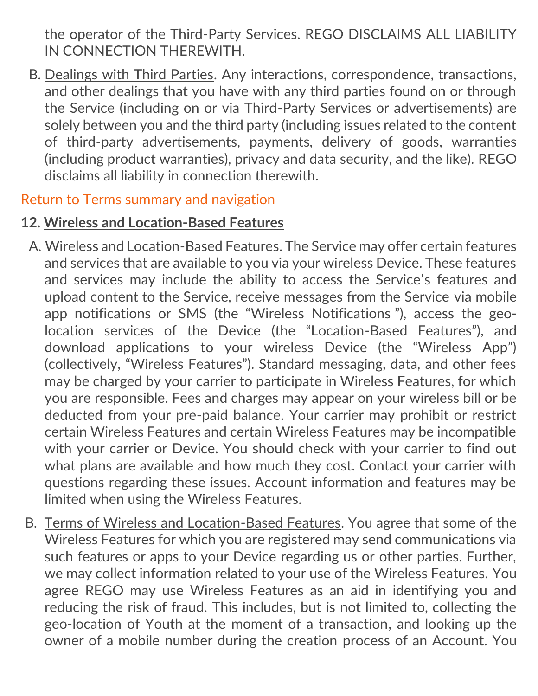the operator of the Third-Party Services. REGO DISCLAIMS ALL LIABILITY IN CONNECTION THEREWITH.

B. Dealings with Third Parties. Any interactions, correspondence, transactions, and other dealings that you have with any third parties found on or through the Service (including on or via Third-Party Services or advertisements) are solely between you and the third party (including issues related to the content of third-party advertisements, payments, delivery of goods, warranties (including product warranties), privacy and data security, and the like). REGO disclaims all liability in connection therewith.

#### [Return to Terms summary and navigation](#page-2-0)

#### **12. Wireless and Location-Based Features**

- <span id="page-33-0"></span>A. Wireless and Location-Based Features. The Service may offer certain features and services that are available to you via your wireless Device. These features and services may include the ability to access the Service's features and upload content to the Service, receive messages from the Service via mobile app notifications or SMS (the "Wireless Notifications "), access the geolocation services of the Device (the "Location-Based Features"), and download applications to your wireless Device (the "Wireless App") (collectively, "Wireless Features"). Standard messaging, data, and other fees may be charged by your carrier to participate in Wireless Features, for which you are responsible. Fees and charges may appear on your wireless bill or be deducted from your pre-paid balance. Your carrier may prohibit or restrict certain Wireless Features and certain Wireless Features may be incompatible with your carrier or Device. You should check with your carrier to find out what plans are available and how much they cost. Contact your carrier with questions regarding these issues. Account information and features may be limited when using the Wireless Features.
- B. Terms of Wireless and Location-Based Features. You agree that some of the Wireless Features for which you are registered may send communications via such features or apps to your Device regarding us or other parties. Further, we may collect information related to your use of the Wireless Features. You agree REGO may use Wireless Features as an aid in identifying you and reducing the risk of fraud. This includes, but is not limited to, collecting the geo-location of Youth at the moment of a transaction, and looking up the owner of a mobile number during the creation process of an Account. You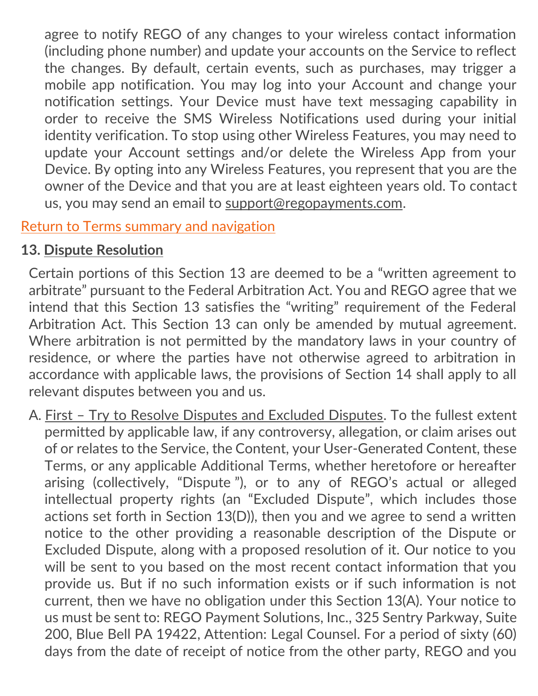agree to notify REGO of any changes to your wireless contact information (including phone number) and update your accounts on the Service to reflect the changes. By default, certain events, such as purchases, may trigger a mobile app notification. You may log into your Account and change your notification settings. Your Device must have text messaging capability in order to receive the SMS Wireless Notifications used during your initial identity verification. To stop using other Wireless Features, you may need to update your Account settings and/or delete the Wireless App from your Device. By opting into any Wireless Features, you represent that you are the owner of the Device and that you are at least eighteen years old. To contact us, you may send an email to [support@regopayments.com.](mailto:support@regopayments.com)

## [Return to Terms summary and navigation](#page-2-0)

# **13. Dispute Resolution**

<span id="page-34-0"></span>Certain portions of this Section 13 are deemed to be a "written agreement to arbitrate" pursuant to the Federal Arbitration Act. You and REGO agree that we intend that this Section 13 satisfies the "writing" requirement of the Federal Arbitration Act. This Section 13 can only be amended by mutual agreement. Where arbitration is not permitted by the mandatory laws in your country of residence, or where the parties have not otherwise agreed to arbitration in accordance with applicable laws, the provisions of Section 14 shall apply to all relevant disputes between you and us.

A. First – Try to Resolve Disputes and Excluded Disputes. To the fullest extent permitted by applicable law, if any controversy, allegation, or claim arises out of or relates to the Service, the Content, your User-Generated Content, these Terms, or any applicable Additional Terms, whether heretofore or hereafter arising (collectively, "Dispute "), or to any of REGO's actual or alleged intellectual property rights (an "Excluded Dispute", which includes those actions set forth in Section 13(D)), then you and we agree to send a written notice to the other providing a reasonable description of the Dispute or Excluded Dispute, along with a proposed resolution of it. Our notice to you will be sent to you based on the most recent contact information that you provide us. But if no such information exists or if such information is not current, then we have no obligation under this Section 13(A). Your notice to us must be sent to: REGO Payment Solutions, Inc., 325 Sentry Parkway, Suite 200, Blue Bell PA 19422, Attention: Legal Counsel. For a period of sixty (60) days from the date of receipt of notice from the other party, REGO and you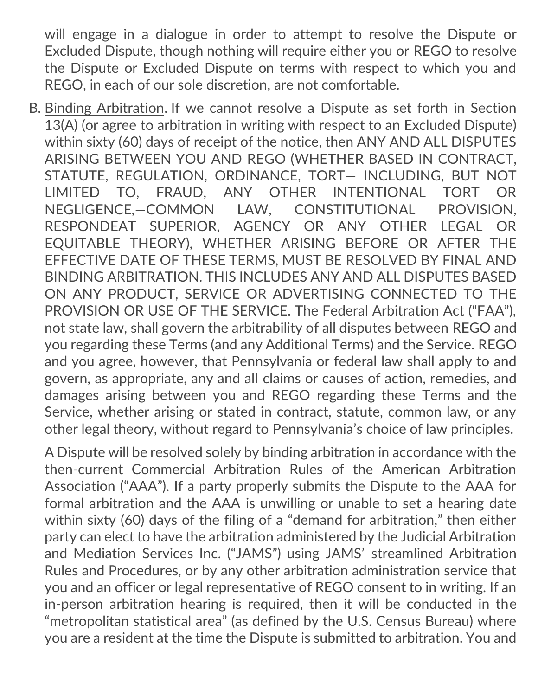will engage in a dialogue in order to attempt to resolve the Dispute or Excluded Dispute, though nothing will require either you or REGO to resolve the Dispute or Excluded Dispute on terms with respect to which you and REGO, in each of our sole discretion, are not comfortable.

B. Binding Arbitration. If we cannot resolve a Dispute as set forth in Section 13(A) (or agree to arbitration in writing with respect to an Excluded Dispute) within sixty (60) days of receipt of the notice, then ANY AND ALL DISPUTES ARISING BETWEEN YOU AND REGO (WHETHER BASED IN CONTRACT, STATUTE, REGULATION, ORDINANCE, TORT— INCLUDING, BUT NOT LIMITED TO, FRAUD, ANY OTHER INTENTIONAL TORT OR NEGLIGENCE,—COMMON LAW, CONSTITUTIONAL PROVISION, RESPONDEAT SUPERIOR, AGENCY OR ANY OTHER LEGAL OR EQUITABLE THEORY), WHETHER ARISING BEFORE OR AFTER THE EFFECTIVE DATE OF THESE TERMS, MUST BE RESOLVED BY FINAL AND BINDING ARBITRATION. THIS INCLUDES ANY AND ALL DISPUTES BASED ON ANY PRODUCT, SERVICE OR ADVERTISING CONNECTED TO THE PROVISION OR USE OF THE SERVICE. The Federal Arbitration Act ("FAA"), not state law, shall govern the arbitrability of all disputes between REGO and you regarding these Terms (and any Additional Terms) and the Service. REGO and you agree, however, that Pennsylvania or federal law shall apply to and govern, as appropriate, any and all claims or causes of action, remedies, and damages arising between you and REGO regarding these Terms and the Service, whether arising or stated in contract, statute, common law, or any other legal theory, without regard to Pennsylvania's choice of law principles.

A Dispute will be resolved solely by binding arbitration in accordance with the then-current Commercial Arbitration Rules of the American Arbitration Association ("AAA"). If a party properly submits the Dispute to the AAA for formal arbitration and the AAA is unwilling or unable to set a hearing date within sixty (60) days of the filing of a "demand for arbitration," then either party can elect to have the arbitration administered by the Judicial Arbitration and Mediation Services Inc. ("JAMS") using JAMS' streamlined Arbitration Rules and Procedures, or by any other arbitration administration service that you and an officer or legal representative of REGO consent to in writing. If an in-person arbitration hearing is required, then it will be conducted in the "metropolitan statistical area" (as defined by the U.S. Census Bureau) where you are a resident at the time the Dispute is submitted to arbitration. You and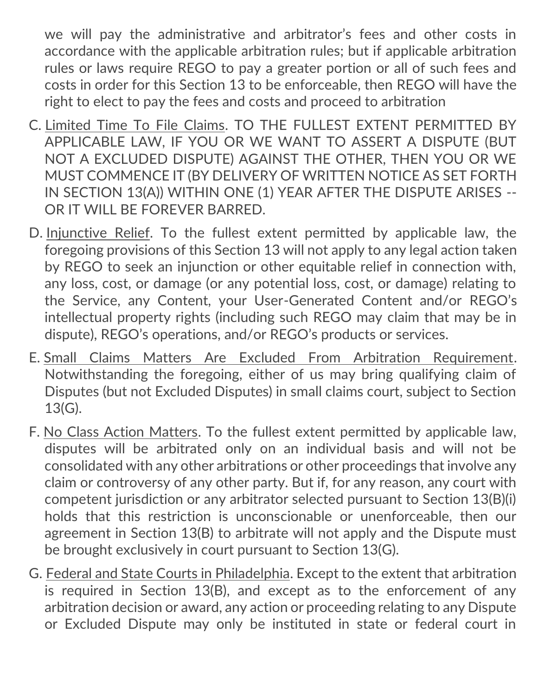we will pay the administrative and arbitrator's fees and other costs in accordance with the applicable arbitration rules; but if applicable arbitration rules or laws require REGO to pay a greater portion or all of such fees and costs in order for this Section 13 to be enforceable, then REGO will have the right to elect to pay the fees and costs and proceed to arbitration

- C. Limited Time To File Claims. TO THE FULLEST EXTENT PERMITTED BY APPLICABLE LAW, IF YOU OR WE WANT TO ASSERT A DISPUTE (BUT NOT A EXCLUDED DISPUTE) AGAINST THE OTHER, THEN YOU OR WE MUST COMMENCE IT (BY DELIVERY OF WRITTEN NOTICE AS SET FORTH IN SECTION 13(A)) WITHIN ONE (1) YEAR AFTER THE DISPUTE ARISES -- OR IT WILL BE FOREVER BARRED.
- D. Injunctive Relief. To the fullest extent permitted by applicable law, the foregoing provisions of this Section 13 will not apply to any legal action taken by REGO to seek an injunction or other equitable relief in connection with, any loss, cost, or damage (or any potential loss, cost, or damage) relating to the Service, any Content, your User-Generated Content and/or REGO's intellectual property rights (including such REGO may claim that may be in dispute), REGO's operations, and/or REGO's products or services.
- E. Small Claims Matters Are Excluded From Arbitration Requirement. Notwithstanding the foregoing, either of us may bring qualifying claim of Disputes (but not Excluded Disputes) in small claims court, subject to Section 13(G).
- F. No Class Action Matters. To the fullest extent permitted by applicable law, disputes will be arbitrated only on an individual basis and will not be consolidated with any other arbitrations or other proceedings that involve any claim or controversy of any other party. But if, for any reason, any court with competent jurisdiction or any arbitrator selected pursuant to Section 13(B)(i) holds that this restriction is unconscionable or unenforceable, then our agreement in Section 13(B) to arbitrate will not apply and the Dispute must be brought exclusively in court pursuant to Section 13(G).
- G. Federal and State Courts in Philadelphia. Except to the extent that arbitration is required in Section 13(B), and except as to the enforcement of any arbitration decision or award, any action or proceeding relating to any Dispute or Excluded Dispute may only be instituted in state or federal court in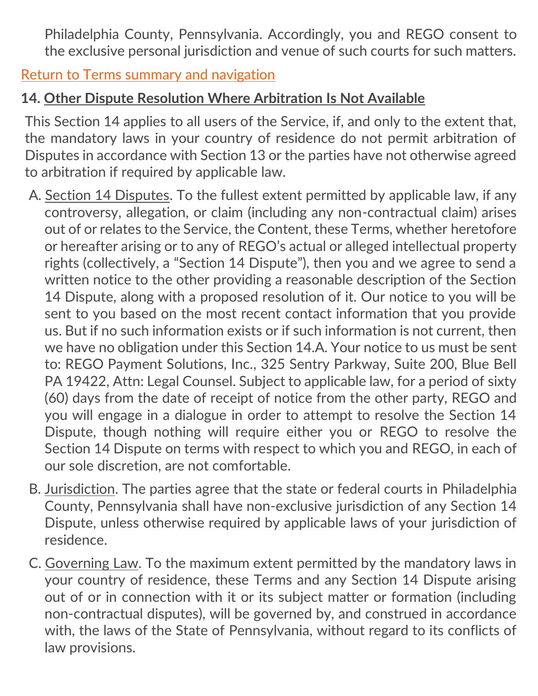<span id="page-37-0"></span>Philadelphia County, Pennsylvania. Accordingly, you and REGO consent to the exclusive personal jurisdiction and venue of such courts for such matters.

[Return to Terms summary and navigation](#page-2-0)

## **14. Other Dispute Resolution Where Arbitration Is Not Available**

This Section 14 applies to all users of the Service, if, and only to the extent that, the mandatory laws in your country of residence do not permit arbitration of Disputes in accordance with Section 13 or the parties have not otherwise agreed to arbitration if required by applicable law.

- A. Section 14 Disputes. To the fullest extent permitted by applicable law, if any controversy, allegation, or claim (including any non-contractual claim) arises out of or relates to the Service, the Content, these Terms, whether heretofore or hereafter arising or to any of REGO's actual or alleged intellectual property rights (collectively, a "Section 14 Dispute"), then you and we agree to send a written notice to the other providing a reasonable description of the Section 14 Dispute, along with a proposed resolution of it. Our notice to you will be sent to you based on the most recent contact information that you provide us. But if no such information exists or if such information is not current, then we have no obligation under this Section 14.A. Your notice to us must be sent to: REGO Payment Solutions, Inc., 325 Sentry Parkway, Suite 200, Blue Bell PA 19422, Attn: Legal Counsel. Subject to applicable law, for a period of sixty (60) days from the date of receipt of notice from the other party, REGO and you will engage in a dialogue in order to attempt to resolve the Section 14 Dispute, though nothing will require either you or REGO to resolve the Section 14 Dispute on terms with respect to which you and REGO, in each of our sole discretion, are not comfortable.
- B. Jurisdiction. The parties agree that the state or federal courts in Philadelphia County, Pennsylvania shall have non-exclusive jurisdiction of any Section 14 Dispute, unless otherwise required by applicable laws of your jurisdiction of residence.
- C. Governing Law. To the maximum extent permitted by the mandatory laws in your country of residence, these Terms and any Section 14 Dispute arising out of or in connection with it or its subject matter or formation (including non-contractual disputes), will be governed by, and construed in accordance with, the laws of the State of Pennsylvania, without regard to its conflicts of law provisions.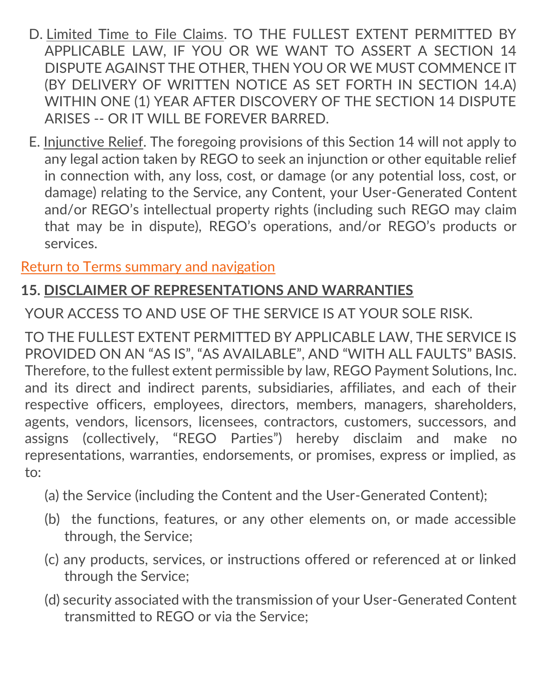- D. Limited Time to File Claims. TO THE FULLEST EXTENT PERMITTED BY APPLICABLE LAW, IF YOU OR WE WANT TO ASSERT A SECTION 14 DISPUTE AGAINST THE OTHER, THEN YOU OR WE MUST COMMENCE IT (BY DELIVERY OF WRITTEN NOTICE AS SET FORTH IN SECTION 14.A) WITHIN ONE (1) YEAR AFTER DISCOVERY OF THE SECTION 14 DISPUTE ARISES -- OR IT WILL BE FOREVER BARRED.
- E. Injunctive Relief. The foregoing provisions of this Section 14 will not apply to any legal action taken by REGO to seek an injunction or other equitable relief in connection with, any loss, cost, or damage (or any potential loss, cost, or damage) relating to the Service, any Content, your User-Generated Content and/or REGO's intellectual property rights (including such REGO may claim that may be in dispute), REGO's operations, and/or REGO's products or services.

<span id="page-38-0"></span>[Return to Terms summary and navigation](#page-2-0)

## **15. DISCLAIMER OF REPRESENTATIONS AND WARRANTIES**

YOUR ACCESS TO AND USE OF THE SERVICE IS AT YOUR SOLE RISK.

TO THE FULLEST EXTENT PERMITTED BY APPLICABLE LAW, THE SERVICE IS PROVIDED ON AN "AS IS", "AS AVAILABLE", AND "WITH ALL FAULTS" BASIS. Therefore, to the fullest extent permissible by law, REGO Payment Solutions, Inc. and its direct and indirect parents, subsidiaries, affiliates, and each of their respective officers, employees, directors, members, managers, shareholders, agents, vendors, licensors, licensees, contractors, customers, successors, and assigns (collectively, "REGO Parties") hereby disclaim and make no representations, warranties, endorsements, or promises, express or implied, as to:

- (a) the Service (including the Content and the User-Generated Content);
- (b) the functions, features, or any other elements on, or made accessible through, the Service;
- (c) any products, services, or instructions offered or referenced at or linked through the Service;
- (d) security associated with the transmission of your User-Generated Content transmitted to REGO or via the Service;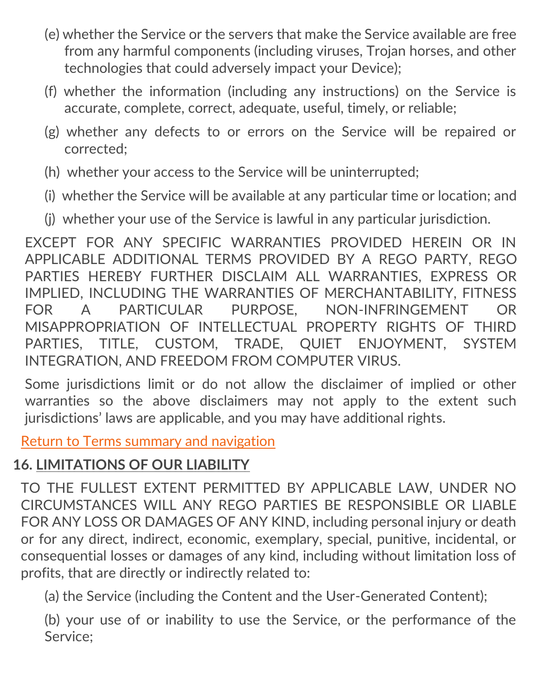- (e) whether the Service or the servers that make the Service available are free from any harmful components (including viruses, Trojan horses, and other technologies that could adversely impact your Device);
- (f) whether the information (including any instructions) on the Service is accurate, complete, correct, adequate, useful, timely, or reliable;
- (g) whether any defects to or errors on the Service will be repaired or corrected;
- (h) whether your access to the Service will be uninterrupted;
- (i) whether the Service will be available at any particular time or location; and
- (j) whether your use of the Service is lawful in any particular jurisdiction.

EXCEPT FOR ANY SPECIFIC WARRANTIES PROVIDED HEREIN OR IN APPLICABLE ADDITIONAL TERMS PROVIDED BY A REGO PARTY, REGO PARTIES HEREBY FURTHER DISCLAIM ALL WARRANTIES, EXPRESS OR IMPLIED, INCLUDING THE WARRANTIES OF MERCHANTABILITY, FITNESS FOR A PARTICULAR PURPOSE, NON-INFRINGEMENT OR MISAPPROPRIATION OF INTELLECTUAL PROPERTY RIGHTS OF THIRD PARTIES, TITLE, CUSTOM, TRADE, QUIET ENJOYMENT, SYSTEM INTEGRATION, AND FREEDOM FROM COMPUTER VIRUS.

<span id="page-39-0"></span>Some jurisdictions limit or do not allow the disclaimer of implied or other warranties so the above disclaimers may not apply to the extent such jurisdictions' laws are applicable, and you may have additional rights.

[Return to Terms summary and navigation](#page-2-0)

# **16. LIMITATIONS OF OUR LIABILITY**

TO THE FULLEST EXTENT PERMITTED BY APPLICABLE LAW, UNDER NO CIRCUMSTANCES WILL ANY REGO PARTIES BE RESPONSIBLE OR LIABLE FOR ANY LOSS OR DAMAGES OF ANY KIND, including personal injury or death or for any direct, indirect, economic, exemplary, special, punitive, incidental, or consequential losses or damages of any kind, including without limitation loss of profits, that are directly or indirectly related to:

(a) the Service (including the Content and the User-Generated Content);

(b) your use of or inability to use the Service, or the performance of the Service;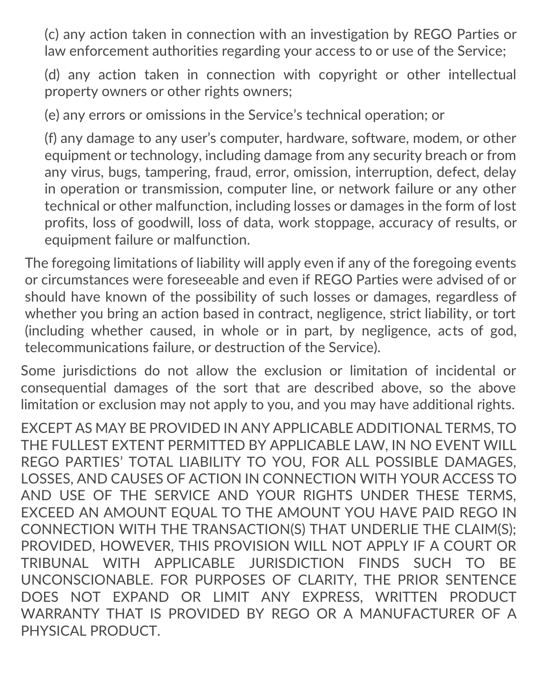(c) any action taken in connection with an investigation by REGO Parties or law enforcement authorities regarding your access to or use of the Service;

(d) any action taken in connection with copyright or other intellectual property owners or other rights owners;

(e) any errors or omissions in the Service's technical operation; or

(f) any damage to any user's computer, hardware, software, modem, or other equipment or technology, including damage from any security breach or from any virus, bugs, tampering, fraud, error, omission, interruption, defect, delay in operation or transmission, computer line, or network failure or any other technical or other malfunction, including losses or damages in the form of lost profits, loss of goodwill, loss of data, work stoppage, accuracy of results, or equipment failure or malfunction.

The foregoing limitations of liability will apply even if any of the foregoing events or circumstances were foreseeable and even if REGO Parties were advised of or should have known of the possibility of such losses or damages, regardless of whether you bring an action based in contract, negligence, strict liability, or tort (including whether caused, in whole or in part, by negligence, acts of god, telecommunications failure, or destruction of the Service).

Some jurisdictions do not allow the exclusion or limitation of incidental or consequential damages of the sort that are described above, so the above limitation or exclusion may not apply to you, and you may have additional rights.

EXCEPT AS MAY BE PROVIDED IN ANY APPLICABLE ADDITIONAL TERMS, TO THE FULLEST EXTENT PERMITTED BY APPLICABLE LAW, IN NO EVENT WILL REGO PARTIES' TOTAL LIABILITY TO YOU, FOR ALL POSSIBLE DAMAGES, LOSSES, AND CAUSES OF ACTION IN CONNECTION WITH YOUR ACCESS TO AND USE OF THE SERVICE AND YOUR RIGHTS UNDER THESE TERMS, EXCEED AN AMOUNT EQUAL TO THE AMOUNT YOU HAVE PAID REGO IN CONNECTION WITH THE TRANSACTION(S) THAT UNDERLIE THE CLAIM(S); PROVIDED, HOWEVER, THIS PROVISION WILL NOT APPLY IF A COURT OR TRIBUNAL WITH APPLICABLE JURISDICTION FINDS SUCH TO BE UNCONSCIONABLE. FOR PURPOSES OF CLARITY, THE PRIOR SENTENCE DOES NOT EXPAND OR LIMIT ANY EXPRESS, WRITTEN PRODUCT WARRANTY THAT IS PROVIDED BY REGO OR A MANUFACTURER OF A PHYSICAL PRODUCT.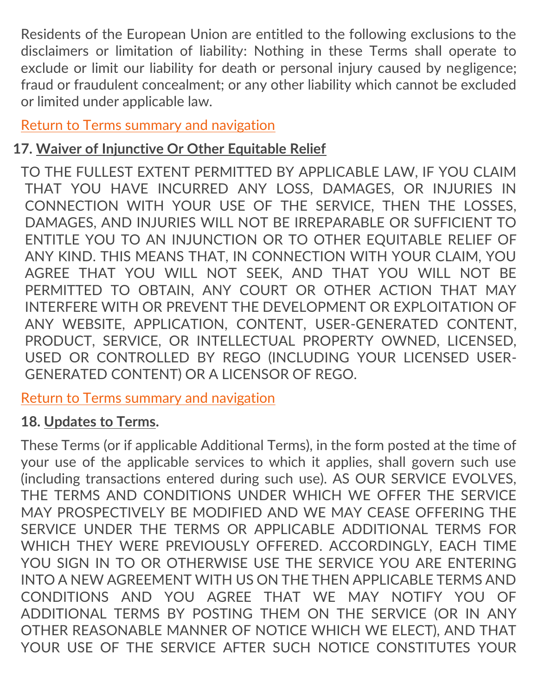Residents of the European Union are entitled to the following exclusions to the disclaimers or limitation of liability: Nothing in these Terms shall operate to exclude or limit our liability for death or personal injury caused by negligence; fraud or fraudulent concealment; or any other liability which cannot be excluded or limited under applicable law.

<span id="page-41-0"></span>[Return to Terms summary and navigation](#page-2-0)

## **17. Waiver of Injunctive Or Other Equitable Relief**

TO THE FULLEST EXTENT PERMITTED BY APPLICABLE LAW, IF YOU CLAIM THAT YOU HAVE INCURRED ANY LOSS, DAMAGES, OR INJURIES IN CONNECTION WITH YOUR USE OF THE SERVICE, THEN THE LOSSES, DAMAGES, AND INJURIES WILL NOT BE IRREPARABLE OR SUFFICIENT TO ENTITLE YOU TO AN INJUNCTION OR TO OTHER EQUITABLE RELIEF OF ANY KIND. THIS MEANS THAT, IN CONNECTION WITH YOUR CLAIM, YOU AGREE THAT YOU WILL NOT SEEK, AND THAT YOU WILL NOT BE PERMITTED TO OBTAIN, ANY COURT OR OTHER ACTION THAT MAY INTERFERE WITH OR PREVENT THE DEVELOPMENT OR EXPLOITATION OF ANY WEBSITE, APPLICATION, CONTENT, USER-GENERATED CONTENT, PRODUCT, SERVICE, OR INTELLECTUAL PROPERTY OWNED, LICENSED, USED OR CONTROLLED BY REGO (INCLUDING YOUR LICENSED USER-GENERATED CONTENT) OR A LICENSOR OF REGO.

<span id="page-41-1"></span>[Return to Terms summary and navigation](#page-2-0)

#### **18. Updates to Terms.**

These Terms (or if applicable Additional Terms), in the form posted at the time of your use of the applicable services to which it applies, shall govern such use (including transactions entered during such use). AS OUR SERVICE EVOLVES, THE TERMS AND CONDITIONS UNDER WHICH WE OFFER THE SERVICE MAY PROSPECTIVELY BE MODIFIED AND WE MAY CEASE OFFERING THE SERVICE UNDER THE TERMS OR APPLICABLE ADDITIONAL TERMS FOR WHICH THEY WERE PREVIOUSLY OFFERED. ACCORDINGLY, EACH TIME YOU SIGN IN TO OR OTHERWISE USE THE SERVICE YOU ARE ENTERING INTO A NEW AGREEMENT WITH US ON THE THEN APPLICABLE TERMS AND CONDITIONS AND YOU AGREE THAT WE MAY NOTIFY YOU OF ADDITIONAL TERMS BY POSTING THEM ON THE SERVICE (OR IN ANY OTHER REASONABLE MANNER OF NOTICE WHICH WE ELECT), AND THAT YOUR USE OF THE SERVICE AFTER SUCH NOTICE CONSTITUTES YOUR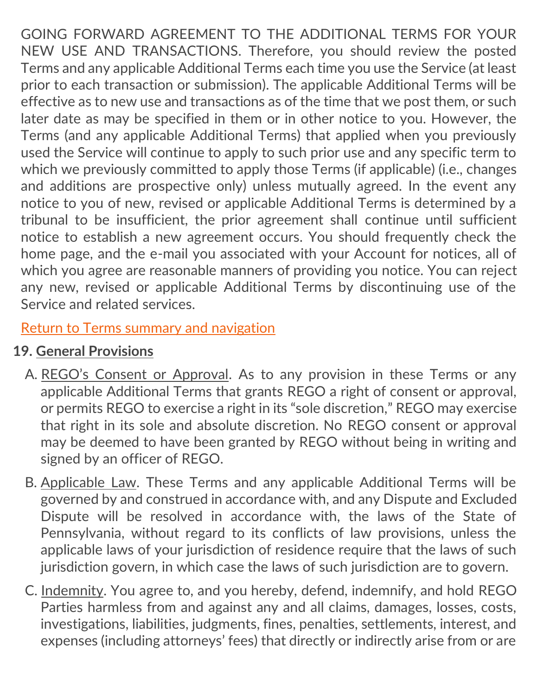GOING FORWARD AGREEMENT TO THE ADDITIONAL TERMS FOR YOUR NEW USE AND TRANSACTIONS. Therefore, you should review the posted Terms and any applicable Additional Terms each time you use the Service (at least prior to each transaction or submission). The applicable Additional Terms will be effective as to new use and transactions as of the time that we post them, or such later date as may be specified in them or in other notice to you. However, the Terms (and any applicable Additional Terms) that applied when you previously used the Service will continue to apply to such prior use and any specific term to which we previously committed to apply those Terms (if applicable) (i.e., changes and additions are prospective only) unless mutually agreed. In the event any notice to you of new, revised or applicable Additional Terms is determined by a tribunal to be insufficient, the prior agreement shall continue until sufficient notice to establish a new agreement occurs. You should frequently check the home page, and the e-mail you associated with your Account for notices, all of which you agree are reasonable manners of providing you notice. You can reject any new, revised or applicable Additional Terms by discontinuing use of the Service and related services.

<span id="page-42-0"></span>[Return to Terms summary and navigation](#page-2-0)

# **19. General Provisions**

- A. REGO's Consent or Approval. As to any provision in these Terms or any applicable Additional Terms that grants REGO a right of consent or approval, or permits REGO to exercise a right in its "sole discretion," REGO may exercise that right in its sole and absolute discretion. No REGO consent or approval may be deemed to have been granted by REGO without being in writing and signed by an officer of REGO.
- B. Applicable Law. These Terms and any applicable Additional Terms will be governed by and construed in accordance with, and any Dispute and Excluded Dispute will be resolved in accordance with, the laws of the State of Pennsylvania, without regard to its conflicts of law provisions, unless the applicable laws of your jurisdiction of residence require that the laws of such jurisdiction govern, in which case the laws of such jurisdiction are to govern.
- C. Indemnity. You agree to, and you hereby, defend, indemnify, and hold REGO Parties harmless from and against any and all claims, damages, losses, costs, investigations, liabilities, judgments, fines, penalties, settlements, interest, and expenses (including attorneys' fees) that directly or indirectly arise from or are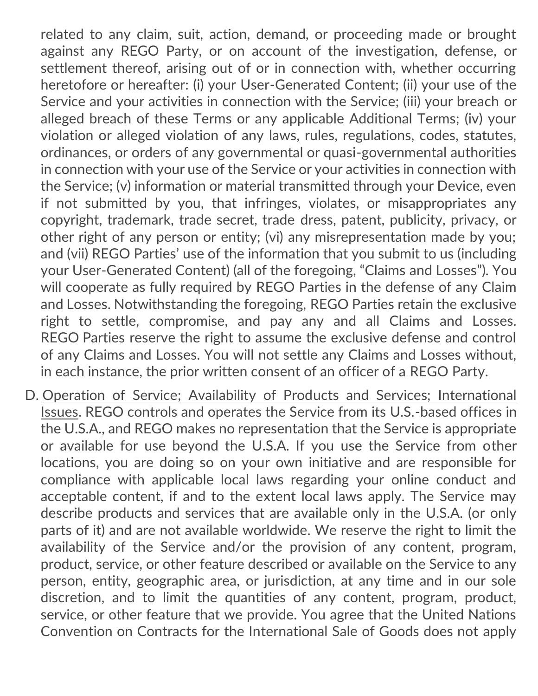related to any claim, suit, action, demand, or proceeding made or brought against any REGO Party, or on account of the investigation, defense, or settlement thereof, arising out of or in connection with, whether occurring heretofore or hereafter: (i) your User-Generated Content; (ii) your use of the Service and your activities in connection with the Service; (iii) your breach or alleged breach of these Terms or any applicable Additional Terms; (iv) your violation or alleged violation of any laws, rules, regulations, codes, statutes, ordinances, or orders of any governmental or quasi-governmental authorities in connection with your use of the Service or your activities in connection with the Service; (v) information or material transmitted through your Device, even if not submitted by you, that infringes, violates, or misappropriates any copyright, trademark, trade secret, trade dress, patent, publicity, privacy, or other right of any person or entity; (vi) any misrepresentation made by you; and (vii) REGO Parties' use of the information that you submit to us (including your User-Generated Content) (all of the foregoing, "Claims and Losses"). You will cooperate as fully required by REGO Parties in the defense of any Claim and Losses. Notwithstanding the foregoing, REGO Parties retain the exclusive right to settle, compromise, and pay any and all Claims and Losses. REGO Parties reserve the right to assume the exclusive defense and control of any Claims and Losses. You will not settle any Claims and Losses without, in each instance, the prior written consent of an officer of a REGO Party.

D. Operation of Service; Availability of Products and Services; International Issues. REGO controls and operates the Service from its U.S.-based offices in the U.S.A., and REGO makes no representation that the Service is appropriate or available for use beyond the U.S.A. If you use the Service from other locations, you are doing so on your own initiative and are responsible for compliance with applicable local laws regarding your online conduct and acceptable content, if and to the extent local laws apply. The Service may describe products and services that are available only in the U.S.A. (or only parts of it) and are not available worldwide. We reserve the right to limit the availability of the Service and/or the provision of any content, program, product, service, or other feature described or available on the Service to any person, entity, geographic area, or jurisdiction, at any time and in our sole discretion, and to limit the quantities of any content, program, product, service, or other feature that we provide. You agree that the United Nations Convention on Contracts for the International Sale of Goods does not apply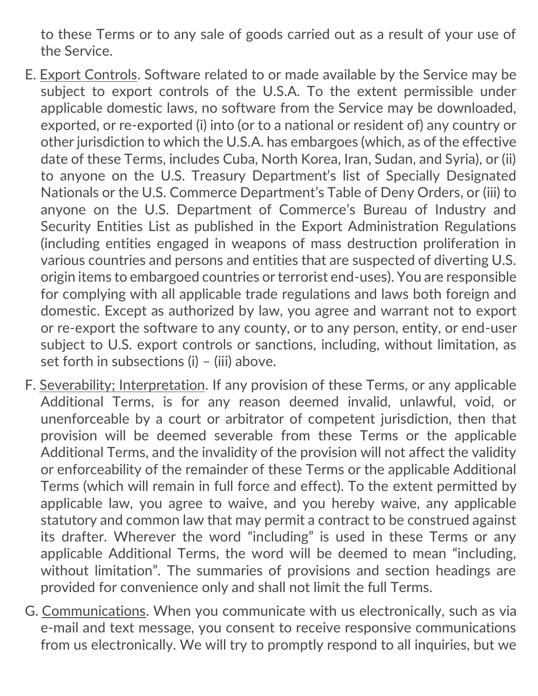to these Terms or to any sale of goods carried out as a result of your use of the Service.

- E. Export Controls. Software related to or made available by the Service may be subject to export controls of the U.S.A. To the extent permissible under applicable domestic laws, no software from the Service may be downloaded, exported, or re-exported (i) into (or to a national or resident of) any country or other jurisdiction to which the U.S.A. has embargoes (which, as of the effective date of these Terms, includes Cuba, North Korea, Iran, Sudan, and Syria), or (ii) to anyone on the U.S. Treasury Department's list of Specially Designated Nationals or the U.S. Commerce Department's Table of Deny Orders, or (iii) to anyone on the U.S. Department of Commerce's Bureau of Industry and Security Entities List as published in the Export Administration Regulations (including entities engaged in weapons of mass destruction proliferation in various countries and persons and entities that are suspected of diverting U.S. origin items to embargoed countries or terrorist end-uses). You are responsible for complying with all applicable trade regulations and laws both foreign and domestic. Except as authorized by law, you agree and warrant not to export or re-export the software to any county, or to any person, entity, or end-user subject to U.S. export controls or sanctions, including, without limitation, as set forth in subsections (i) – (iii) above.
- F. Severability; Interpretation. If any provision of these Terms, or any applicable Additional Terms, is for any reason deemed invalid, unlawful, void, or unenforceable by a court or arbitrator of competent jurisdiction, then that provision will be deemed severable from these Terms or the applicable Additional Terms, and the invalidity of the provision will not affect the validity or enforceability of the remainder of these Terms or the applicable Additional Terms (which will remain in full force and effect). To the extent permitted by applicable law, you agree to waive, and you hereby waive, any applicable statutory and common law that may permit a contract to be construed against its drafter. Wherever the word "including" is used in these Terms or any applicable Additional Terms, the word will be deemed to mean "including, without limitation". The summaries of provisions and section headings are provided for convenience only and shall not limit the full Terms.
- G. Communications. When you communicate with us electronically, such as via e-mail and text message, you consent to receive responsive communications from us electronically. We will try to promptly respond to all inquiries, but we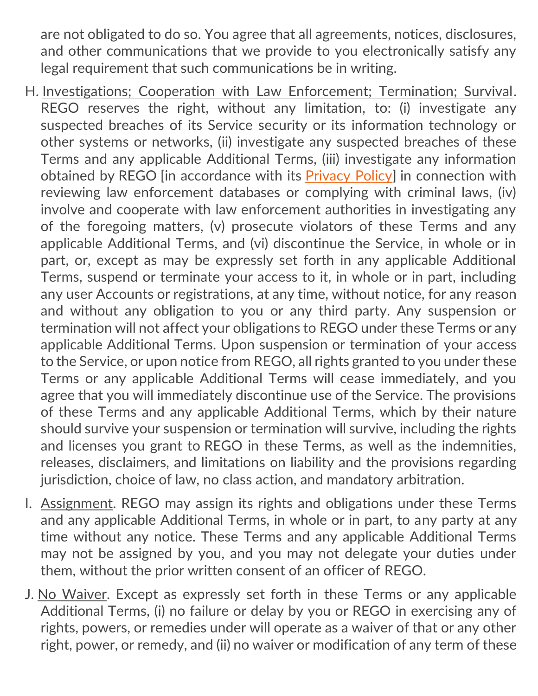are not obligated to do so. You agree that all agreements, notices, disclosures, and other communications that we provide to you electronically satisfy any legal requirement that such communications be in writing.

- H. Investigations; Cooperation with Law Enforcement; Termination; Survival. REGO reserves the right, without any limitation, to: (i) investigate any suspected breaches of its Service security or its information technology or other systems or networks, (ii) investigate any suspected breaches of these Terms and any applicable Additional Terms, (iii) investigate any information obtained by REGO [in accordance with its [Privacy Policy\]](https://mazoola.co/app-privacy-policy/) in connection with reviewing law enforcement databases or complying with criminal laws, (iv) involve and cooperate with law enforcement authorities in investigating any of the foregoing matters, (v) prosecute violators of these Terms and any applicable Additional Terms, and (vi) discontinue the Service, in whole or in part, or, except as may be expressly set forth in any applicable Additional Terms, suspend or terminate your access to it, in whole or in part, including any user Accounts or registrations, at any time, without notice, for any reason and without any obligation to you or any third party. Any suspension or termination will not affect your obligations to REGO under these Terms or any applicable Additional Terms. Upon suspension or termination of your access to the Service, or upon notice from REGO, all rights granted to you under these Terms or any applicable Additional Terms will cease immediately, and you agree that you will immediately discontinue use of the Service. The provisions of these Terms and any applicable Additional Terms, which by their nature should survive your suspension or termination will survive, including the rights and licenses you grant to REGO in these Terms, as well as the indemnities, releases, disclaimers, and limitations on liability and the provisions regarding jurisdiction, choice of law, no class action, and mandatory arbitration.
- I. Assignment. REGO may assign its rights and obligations under these Terms and any applicable Additional Terms, in whole or in part, to any party at any time without any notice. These Terms and any applicable Additional Terms may not be assigned by you, and you may not delegate your duties under them, without the prior written consent of an officer of REGO.
- J. No Waiver. Except as expressly set forth in these Terms or any applicable Additional Terms, (i) no failure or delay by you or REGO in exercising any of rights, powers, or remedies under will operate as a waiver of that or any other right, power, or remedy, and (ii) no waiver or modification of any term of these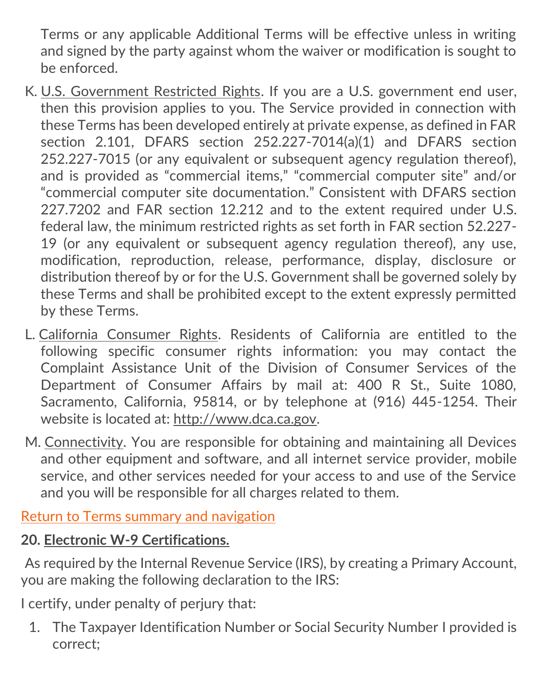Terms or any applicable Additional Terms will be effective unless in writing and signed by the party against whom the waiver or modification is sought to be enforced.

- K. U.S. Government Restricted Rights. If you are a U.S. government end user, then this provision applies to you. The Service provided in connection with these Terms has been developed entirely at private expense, as defined in FAR section 2.101, DFARS section 252.227-7014(a)(1) and DFARS section 252.227-7015 (or any equivalent or subsequent agency regulation thereof), and is provided as "commercial items," "commercial computer site" and/or "commercial computer site documentation." Consistent with DFARS section 227.7202 and FAR section 12.212 and to the extent required under U.S. federal law, the minimum restricted rights as set forth in FAR section 52.227- 19 (or any equivalent or subsequent agency regulation thereof), any use, modification, reproduction, release, performance, display, disclosure or distribution thereof by or for the U.S. Government shall be governed solely by these Terms and shall be prohibited except to the extent expressly permitted by these Terms.
- L. California Consumer Rights. Residents of California are entitled to the following specific consumer rights information: you may contact the Complaint Assistance Unit of the Division of Consumer Services of the Department of Consumer Affairs by mail at: 400 R St., Suite 1080, Sacramento, California, 95814, or by telephone at (916) 445-1254. Their website is located at: [http://www.dca.ca.gov.](https://web.archive.org/web/20160305010103/http:/www.dca.ca.gov/)
- <span id="page-46-0"></span>M. Connectivity. You are responsible for obtaining and maintaining all Devices and other equipment and software, and all internet service provider, mobile service, and other services needed for your access to and use of the Service and you will be responsible for all charges related to them.

[Return to Terms summary and navigation](#page-2-0)

## **20. Electronic W-9 Certifications.**

As required by the Internal Revenue Service (IRS), by creating a Primary Account, you are making the following declaration to the IRS:

I certify, under penalty of perjury that:

1. The Taxpayer Identification Number or Social Security Number I provided is correct;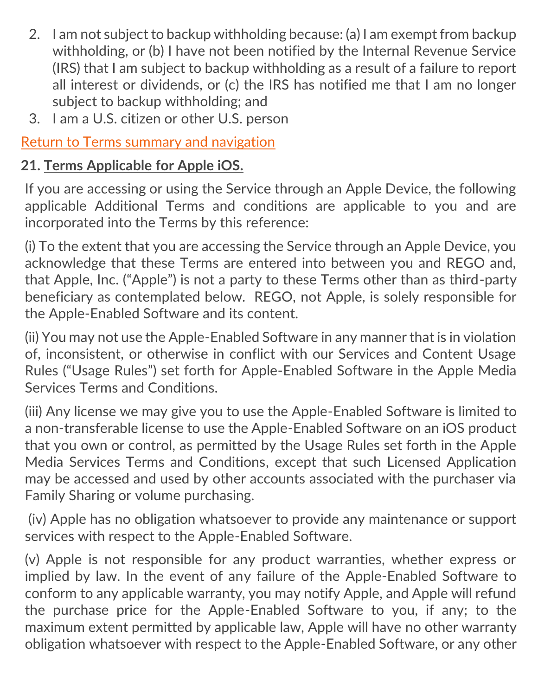- 2. I am not subject to backup withholding because: (a) I am exempt from backup withholding, or (b) I have not been notified by the Internal Revenue Service (IRS) that I am subject to backup withholding as a result of a failure to report all interest or dividends, or (c) the IRS has notified me that I am no longer subject to backup withholding; and
- 3. I am a U.S. citizen or other U.S. person

[Return to Terms summary and navigation](#page-2-0)

# <span id="page-47-0"></span>**21. Terms Applicable for Apple iOS.**

If you are accessing or using the Service through an Apple Device, the following applicable Additional Terms and conditions are applicable to you and are incorporated into the Terms by this reference:

(i) To the extent that you are accessing the Service through an Apple Device, you acknowledge that these Terms are entered into between you and REGO and, that Apple, Inc. ("Apple") is not a party to these Terms other than as third-party beneficiary as contemplated below. REGO, not Apple, is solely responsible for the Apple-Enabled Software and its content.

(ii) You may not use the Apple-Enabled Software in any manner that is in violation of, inconsistent, or otherwise in conflict with our Services and Content Usage Rules ("Usage Rules") set forth for Apple-Enabled Software in the Apple Media Services Terms and Conditions.

(iii) Any license we may give you to use the Apple-Enabled Software is limited to a non-transferable license to use the Apple-Enabled Software on an iOS product that you own or control, as permitted by the Usage Rules set forth in the Apple Media Services Terms and Conditions, except that such Licensed Application may be accessed and used by other accounts associated with the purchaser via Family Sharing or volume purchasing.

(iv) Apple has no obligation whatsoever to provide any maintenance or support services with respect to the Apple-Enabled Software.

(v) Apple is not responsible for any product warranties, whether express or implied by law. In the event of any failure of the Apple-Enabled Software to conform to any applicable warranty, you may notify Apple, and Apple will refund the purchase price for the Apple-Enabled Software to you, if any; to the maximum extent permitted by applicable law, Apple will have no other warranty obligation whatsoever with respect to the Apple-Enabled Software, or any other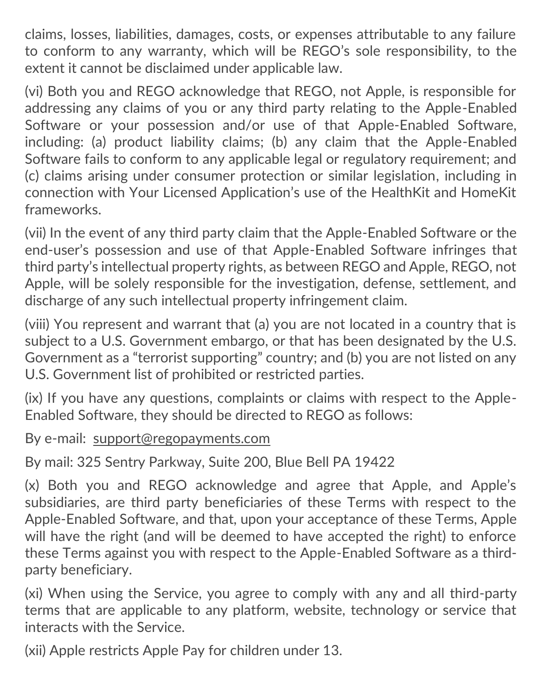claims, losses, liabilities, damages, costs, or expenses attributable to any failure to conform to any warranty, which will be REGO's sole responsibility, to the extent it cannot be disclaimed under applicable law.

(vi) Both you and REGO acknowledge that REGO, not Apple, is responsible for addressing any claims of you or any third party relating to the Apple-Enabled Software or your possession and/or use of that Apple-Enabled Software, including: (a) product liability claims; (b) any claim that the Apple-Enabled Software fails to conform to any applicable legal or regulatory requirement; and (c) claims arising under consumer protection or similar legislation, including in connection with Your Licensed Application's use of the HealthKit and HomeKit frameworks.

(vii) In the event of any third party claim that the Apple-Enabled Software or the end-user's possession and use of that Apple-Enabled Software infringes that third party's intellectual property rights, as between REGO and Apple, REGO, not Apple, will be solely responsible for the investigation, defense, settlement, and discharge of any such intellectual property infringement claim.

(viii) You represent and warrant that (a) you are not located in a country that is subject to a U.S. Government embargo, or that has been designated by the U.S. Government as a "terrorist supporting" country; and (b) you are not listed on any U.S. Government list of prohibited or restricted parties.

(ix) If you have any questions, complaints or claims with respect to the Apple-Enabled Software, they should be directed to REGO as follows:

By e-mail: [support@regopayments.com](mailto:support@regopayments.com)

By mail: 325 Sentry Parkway, Suite 200, Blue Bell PA 19422

(x) Both you and REGO acknowledge and agree that Apple, and Apple's subsidiaries, are third party beneficiaries of these Terms with respect to the Apple-Enabled Software, and that, upon your acceptance of these Terms, Apple will have the right (and will be deemed to have accepted the right) to enforce these Terms against you with respect to the Apple-Enabled Software as a thirdparty beneficiary.

(xi) When using the Service, you agree to comply with any and all third-party terms that are applicable to any platform, website, technology or service that interacts with the Service.

(xii) Apple restricts Apple Pay for children under 13.